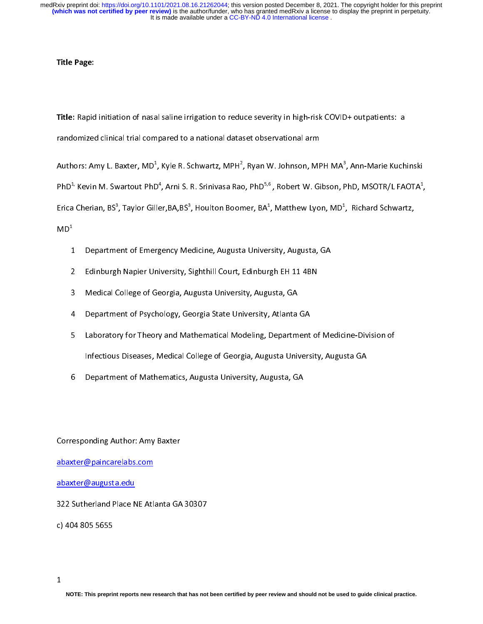Title Page:

Trandomized clinical trial compared to a national dataset observational arm<br>Authors: Amy L. Baxter, MD<sup>1</sup>, Kyle R. Schwartz, MPH<sup>2</sup>, Ryan W. Johnson, MPH MA<sup>3</sup>, Ann-Marie Kuch<br>PhD<sup>1,</sup> Kevin M. Swartout PhD<sup>4</sup>, Arni S. R. S Authors: Amy L. Baxter, MD<sup>1</sup>, Kyle R. Schwartz, MPH<sup>2</sup>, Ryan W. Johnson, MF<br>PhD<sup>1,</sup> Kevin M. Swartout PhD<sup>4</sup>, Arni S. R. Srinivasa Rao, PhD<sup>5,6</sup>, Robert W. Gi<br>Erica Cherian, BS<sup>3</sup>, Taylor Giller,BA,BS<sup>3</sup>, Houlton Boomer, Authors: Amy L. Baxter, MD<sup>4</sup><br>PhD<sup>1,</sup> Kevin M. Swartout PhD<br>Erica Cherian, BS<sup>3</sup>, Taylor Gill<br>MD<sup>1</sup><br>1 Department of Emer , Kyle R. Schwartz, MPH<sup>2</sup>,<br><sup>4</sup>, Arni S. R. Srinivasa Rac<br>er,BA,BS<sup>3</sup>, Houlton Boon<br>gency Medicine, Augusta , Ryan W. Johnson, MPH MA<sup>3</sup>,<br>9, PhD<sup>5,6</sup>, Robert W. Gibson, F<br>ner, BA<sup>1</sup>, Matthew Lyon, MD<sup>1</sup>,<br><sup>3</sup> ,<br>hD, MSOTR/L FAOTA<sup>1</sup>,<br>Richard Schwartz,<br>Sichard Kuratz, PhD<sup>+,</sup> Kevin M. Swartout PhD<sup>+</sup><br>Erica Cherian, BS<sup>3</sup>, Taylor Gille<br>MD<sup>1</sup><br>1 Department of Emerg<br>2 Edinburgh Napier Uni<sup>.</sup> , Arni S. R. Srinivasa Rao, PhD<sup>-,</sup>°, Robert W. Gibson, PhD, MSOTR/L FAOTA<sup>4</sup><br>r,BA,BS<sup>3</sup>, Houlton Boomer, BA<sup>1</sup>, Matthew Lyon, MD<sup>1</sup>, Richard Schwartz,<br>ency Medicine, Augusta University, Augusta, GA<br>versity, Sighthill Cour  $\mathcal{L}$ Erica Cherian, BS<sup>3</sup><br>MD<sup>1</sup><br>1 Departme<br>2 Edinburg<br>3 Medical C , Taylor Giller,BA,BS<sup>3</sup><br>ent of Emergency Me<br>1 Napier University, S<br>iollege of Georgia, Au , Houlton Boomer, BA<sup>+</sup><br>dicine, Augusta Univer,<br>Sighthill Court, Edinbur<sub>i</sub><br>ugusta University, Augu , Matthew Lyon, MD<sup>+</sup><br>sity, Augusta, GA<br>gh EH 11 4BN<br>usta, GA , Richard Schwartz, MD<sup>1</sup><br>...<br>...

- 
- $\begin{array}{c} 1 \\ 2 \\ 3 \end{array}$
- 
- 
- 1 Department of Emergency Medicine, Augusta University, Magnetic Property, 2014<br>2 Edinburgh Napier University, Sighthill Court, Edinburgh EH 11 4BN<br>3 Medical College of Georgia, Augusta University, Augusta, GA<br>2 Department 2 Edinburgh Nedical College of Georgia, Augusta University, Augusta, GA<br>2 Department of Psychology, Georgia State University, Atlanta GA<br>2 Laboratory for Theory and Mathematical Modeling, Department of<br>1nfectious Diseases, 3 Medical College of Georgia State University, Atlanta<br>3 Laboratory for Theory and Mathematical Modeling, Departm<br>1 Infectious Diseases, Medical College of Georgia, Augusta Univ<br>6 Department of Mathematics, Augusta Univers 1 Department of Pheory and Mathematical Modeling, Department<br>Infectious Diseases, Medical College of Georgia, Augusta Univers<br>6 Department of Mathematics, Augusta University, Augusta, GA Infectious Diseases, Medical College of Georgia, Augusta University, Augusta GA<br>6 Department of Mathematics, Augusta University, Augusta, GA<br>16 Department of Mathematics, Augusta University, Augusta, GA
- Inferious Diseases, Medical College of Georgia, Magusta Dimersity, Magusta Diversity, Augusta GA<br>Department of Mathematics, Augusta University, Augusta, GA<br>onding Author: Amy Baxter

esponding Author: Amy Baxter<br>Ker@paincarelabs.com יינו באוני הוא היינו ביוני הוא היינו הוא היינו הוא היינו הוא היינו הוא היינו הוא היינו הוא היינו הוא היינו הוא<br>היינו הוא היינו הוא היינו הוא היינו הוא היינו הוא היינו הוא היינו הוא היינו הוא היינו הוא היינו הוא היינו הוא  $rac{\tilde{c}}{\tilde{c}}$ 

abaxter@paincarelabs.com<br>abaxter@augusta.edu<br>322 Sutherland Place NE Atlanta GA<br>c) 404 805 5655 abaxter@augusta.edu<br>322 Sutherland Place NE Atl.<br>c) 404 805 5655 abaxter<br>322 Sutherland Place N<br>c) 404 805 5655<br>1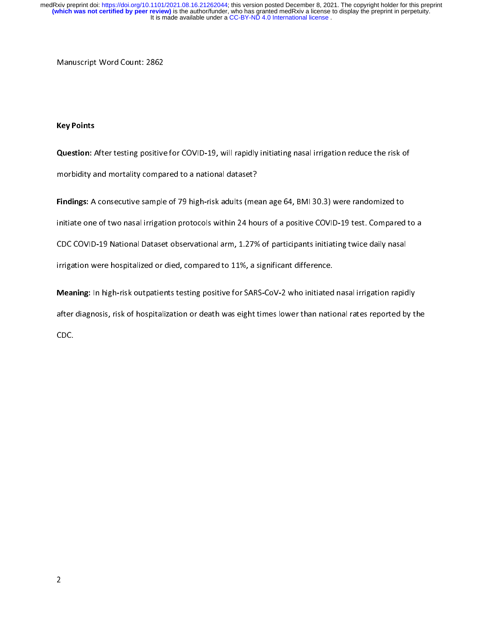# Key Points

Manuscript Word Count: 2872<br>Key Points<br>Question: After testing positive  $\frac{1}{2}$ |<br>|<br>|

Question: After testing positive for COVID-19, will rapidly initiating nasal irrigation reduce the risk of<br>morbidity and mortality compared to a national dataset?<br>Findings: A consecutive sample of 79 high-risk adults (mean morbidity and mortality compared to a national dataset:<br>Findings: A consecutive sample of 79 high-risk adults (met<br>initiate one of two nasal irrigation protocols within 24 hot<br>CDC COVID-19 National Dataset observational ar Findings: A consecutive sample of 79 high-risk adults (mean age 64, BMI 30.3) were randomized to<br>initiate one of two nasal irrigation protocols within 24 hours of a positive COVID-19 test. Compared<br>CDC COVID-19 National Da initiate one of two nations and two narrows of two nasal colors within 24 hours of two nasal irrigation were hospitalized or died, compared to 11%, a significant difference.<br>Meaning: In high-risk outpatients testing positi

Irrigation were hospitalized or died, compared to 11%, a significant difference.<br>Meaning: In high-risk outpatients testing positive for SARS-CoV-2 who initiated nasal irrigation rapid<br>after diagnosis, risk of hospitalizati Meaning: In high-risk outpatients testing positive for SARS-CoV-2 who initiated<br>after diagnosis, risk of hospitalization or death was eight times lower than natio<br>CDC. Meaning: In high-risk outpatients testing positive for SARS-CoV-2 who initiated nasal irrigation rapidly<br>after diagnosis, risk of hospitalization or death was eight times lower than national rates reported by the<br>CDC. after diagnosis, risk of hospitalization or death was eight times lower than national rates reported by the co<br>CDC.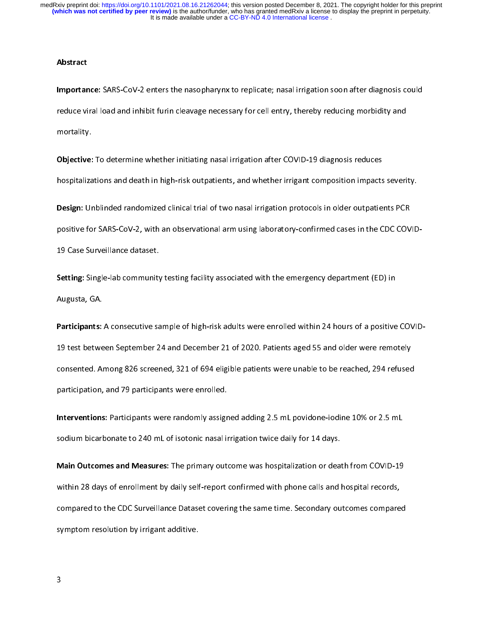### Abstract

Importance: SARS-COV-2 enters the nasopharynx to replicate; nasarinigation soon after diagnosis could<br>reduce viral load and inhibit furin cleavage necessary for cell entry, thereby reducing morbidity and<br>mortality.<br>Dispect

reduce viral load and the method in the initiating and integration after COVID-19 diagnosis reduces<br>
hospitalizations and death in high-risk outpatients, and whether irrigant composition impacts severi<br>
Design: Unblinded r s<br>Objective:<br>hospitaliza<br>Design: Ur

Objective: To determine whether initiating nasal imgation after COVID-19 diagnosis reduces<br>hospitalizations and death in high-risk outpatients, and whether irrigant composition impacts<br>Design: Unblinded randomized clinical hosign: Unblinded randomized clinical trial of two nasal irrigation protocols in older outpatients PCR<br>positive for SARS-CoV-2, with an observational arm using laboratory-confirmed cases in the CDC COVID<br>19 Case Surveillan Design: Unblinded randomized clinical trial of two nasal irrigation protocols in older outpatients PCR<br>positive for SARS-CoV-2, with an observational arm using laboratory-confirmed cases in the CDC COV<br>19 Case Surveillance

19 Case Surveillance and Case<br>Setting: Single-lab community<br>Augusta, GA.<br>Participants: A consecutive sa

Participants: A consecutive sample of high-risk adults were enrolled within 24 hours of a positive COVID-Setting: Single-lab community testing facility associated with the emergency department (ED) in<br>Augusta, GA.<br>Participants: A consecutive sample of high-risk adults were enrolled within 24 hours of a positive<br>19 test betwee Participants:<br>19 test betwe<br>consented. Ar<br>participation, Participants: A consecutive sample of high-risk adults were embited within 24 hours of a positive covib-<br>19 test between September 24 and December 21 of 2020. Patients aged 55 and older were remotely<br>consented. Among 826 s 20 tonsented. Among 826 screened, 321 of 694 eligible patients were unable to be reached, 294 refused<br>participation, and 79 participants were enrolled.<br>Interventions: Participants were randomly assigned adding 2.5 mL povid

participation, and 79 participants were enrolled.<br>Interventions: Participants were randomly assigned adding 2.5 mL povidone-iodine 10% or 2.5 mL<br>sodium bicarbonate to 240 mL of isotonic nasal irrigation twice daily for 14 Interventions: Participants were randomly assign<br>sodium bicarbonate to 240 mL of isotonic nasal in<br>Main Outcomes and Measures: The primary out<br>within 28 days of enrollment by daily self-renort

Interventions: Participants were randomly assigned dating 2.5 mL povidone-iodine 10% or 2.5 mL<br>Sodium bicarbonate to 240 mL of isotonic nasal irrigation twice daily for 14 days.<br>Main Outcomes and Measures: The primary outc Main Outcomes and Measures: The primary outcome was hospitalization or deat<br>within 28 days of enrollment by daily self-report confirmed with phone calls and l<br>compared to the CDC Surveillance Dataset covering the same time Main Outcomes and Measures: The primary outcome was hospitalization or death from COVID-19<br>within 28 days of enrollment by daily self-report confirmed with phone calls and hospital records,<br>compared to the CDC Surveillance compared to the CDC Surveillance Dataset covering the same time. Secondary outcomes compare<br>symptom resolution by irrigant additive.<br>3 compared to the CDC Cancellance Dataset covering the same time. Secondary outcomes compared to the particle symptom resolution by irrigant additive. symptom resolution by irrigant additive.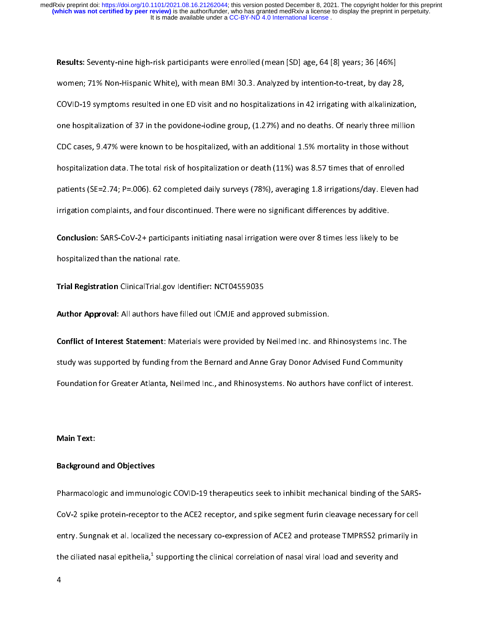Results: Seventy-line high-risk participants were enrolled (mean [JD] age, 04 [8] years, 30 [40%]<br>Women; 71% Non-Hispanic White), with mean BMI 30.3. Analyzed by intention-to-treat, by day 28<br>COVID-19 symptoms resulted in cOVID-19 symptoms resulted in one ED visit and no hospitalizations in 42 irrigating with alkalinizatione hospitalization of 37 in the povidone-iodine group, (1.27%) and no deaths. Of nearly three millipuble CDC cases, 9.47 COVIDE 21 symptoms resulted in one ED visitation in the ppink shall in the analysing manufalmization,<br>cDC cases, 9.47% were known to be hospitalized, with an additional 1.5% mortality in those without<br>hospitalization data. CDC cases, 9.47% were known to be hospitalized, with an additional 1.5% mortality in those without<br>hospitalization data. The total risk of hospitalization or death (11%) was 8.57 times that of enrolled<br>patients (SE=2.74; P hospitalization data. The total risk of hospitalization or death (11%) was 8.57 times that of enrolled<br>patients (SE=2.74; P=.006). 62 completed daily surveys (78%), averaging 1.8 irrigations/day. Eleven ha<br>irrigation compl patients (SE=2.74; P=.006). 62 completed daily surveys (78%), averaging 1.8 irrigations/day. Eleven lirrigation complaints, and four discontinued. There were no significant differences by additive.<br>Conclusion: SARS-CoV-2+

particular complaints, and four discontinued. There were no significant differences by additive.<br> **Conclusion:** SARS-CoV-2+ participants initiating nasal irrigation were over 8 times less likely to be<br> **Priori Registration Conclusion:** SARS-CoV-2+ participants initiating nasal irrigation were over 8 times less likely to l<br>hospitalized than the national rate.<br>Trial Registration ClinicalTrial.gov Identifier: NCT04559035 Conclusion: SARS-CoV-2+ participants initiating nasal irrigation were over 8 times less likely to be<br>hospitalized than the national rate.<br>Trial Registration ClinicalTrial.gov Identifier: NCT04559035<br>Author Approval: All au

hospitalized than the national rate.<br>Trial Registration ClinicalTrial.gov lo<br>Author Approval: All authors have f<br>Conflict of Interest Statement: Mat Markegistration ClinicalTrial.gov Identifier: NCT04555055<br>Author Approval: All authors have filled out ICMJE and app<br>Conflict of Interest Statement: Materials were provided by<br>study was supported by funding from the Bernar **Conflict of Interest Statement**: Materials were provided by Neilmed Inc. and F<br>study was supported by funding from the Bernard and Anne Gray Donor Advis<br>Foundation for Greater Atlanta, Neilmed Inc., and Rhinosystems. No a Conflict of Interest Statement: Materials were provided by Neilmed Inc. and Rhinosystems Inc. The<br>study was supported by funding from the Bernard and Anne Gray Donor Advised Fund Community<br>Foundation for Greater Atlanta, N Foundation for Greater Atlanta, Neilmed Inc., and Rhinosystems. No authors have conflict of intere<br>Main Text:<br>Main Text:

### Main Text:

# Main Text:<br>Background and Objectives. Neilmed Inc., and Rhinosystems. No authors have conflict of interest. No authors have conflict of interest. No authors have conflict of interest. No authors have conflict of interest. Background and Objectives

|<br>|<br>| Pharmacologic and immunologic COVID-19 therapeutics seek to inhibit mechanical binding of the SARSentry. Sungnak et al. localized the necessary co-expression of ACE2 and protease TMPRSS2 primarily in<br>the ciliated nasal epithelia,<sup>1</sup> supporting the clinical correlation of nasal viral load and severity and<br>4 entry. Sunglem et al. localized the necessary of the protection of has all viral load and severity and<br>the ciliated nasal epithelia,<sup>1</sup> supporting the clinical correlation of nasal viral load and severity and<br>4 the ciliated nasal epithelia,<sup>4</sup><br>4<br>4 supporting the clinical correlation of nasal viral load and severity and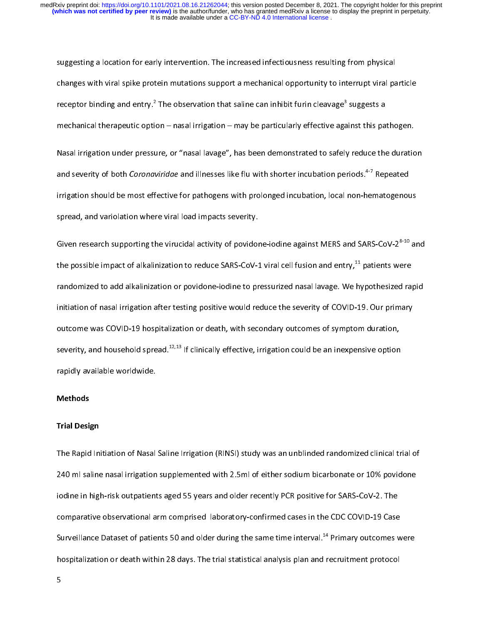suggesting and saturation for intervention for early intervention. The intervention for early plane changes with viral spike protein mutations support a mechanical opportunity to interrupt viral pareceptor binding and entr receptor binding and entry.<sup>2</sup> The observation that saline can inhibit furin cleavage<sup>3</sup> suggests a<br>mechanical therapeutic option – nasal irrigation – may be particularly effective against this pathogen.<br>Nasal irrigation u receptor binding and entry."<br>mechanical therapeutic opti<br>Nasal irrigation under pressu<br>and severity of both *Corona*<br>irrigation should be most eff The observation that saline can inhibit furin cleavage<sup>9</sup><br>on – nasal irrigation – may be particularly effective aga<br>ure, or "nasal lavage", has been demonstrated to safely<br>viridae and illnesses like flu with shorter incuba suggests a<br>sinst this part<br>oriods.<sup>4-7</sup> Repriment-hemation Masal irrigation under pressure, or "nasal lavage", has been demonstrated to safely reduce the duratic<br>and severity of both *Coronaviridae* and illnesses like flu with shorter incubation periods.<sup>4-7</sup> Repeated<br>irrigation s Nasal interpretation under pressure, or "nasal large", has been assumed to safely, tends the duration<br>and severity of both *Coronaviridae* and illnesses like flu with shorter incubation periods.<sup>4-7</sup> Repeated<br>irrigation sh and severity of both *Coronaviridae* and illnesses like flu with shorter incubation periods.<sup>4</sup><sup>,</sup> Repeated irrigation should be most effective for pathogens with prolonged incubation, local non-hematogenous<br>spread, and va

spread, and variolation where viral load impacts severity.<br>Given research supporting the virucidal activity of povidone-iodine against MERS and SARS-CoV-2<sup>8-10</sup> are<br>the possible impact of alkalinization to reduce SARS-CoVspread, and variable interestinate viral loopers severity.<br>Siven research supporting the virucidal activity of povidor<br>the possible impact of alkalinization to reduce SARS-CoV-1<br>randomized to add alkalinization or povidone Given research supporting the virucidal activity of povidone-iodine against MERS and SARS-CoV-2<sup>9-20</sup> and<br>the possible impact of alkalinization to reduce SARS-CoV-1 viral cell fusion and entry,<sup>11</sup> patients were<br>randomize the possible impact of alkalinization to reduce SARS-CoV-1 viral cell fusion and entry,<sup>11</sup> patients were<br>randomized to add alkalinization or povidone-iodine to pressurized nasal lavage. We hypothesized ra<br>initiation of na randomized to and alternation of positive scaling to present to any alternation in angle to any primary<br>initiation of nasal irrigation after testing positive would reduce the severity of COVID-19. Our primary<br>outcome was C outcome was COVID-19 hospitalization or death, with secondary outcomes of symptom duration,<br>severity, and household spread.<sup>12,13</sup> If clinically effective, irrigation could be an inexpensive option<br>rapidly available worldw severity, and household spread.<sup>12,13</sup> If clinically effective, irrigation could be an inexpensive option<br>rapidly available worldwide.<br>Methods<br>Trial Design severity, and household spread.<sup>12,13</sup> If clinically effective, irrigation could be an inexpensive option<br>rapidly available worldwide.<br>Methods<br>Trial Design

# Methods

### Trial Design

rapidly available worldwide.<br>Trial Design<br>The Rapid Initiation of Nasal 240 ml saline nasal irrigation supplemented with 2.5ml of either sodium bicarbonate or 10% povidone<br>iodine in high-risk outpatients aged 55 years and older recently PCR positive for SARS-CoV-2. The<br>comparative observationa 241 misamic and wighted supplemented with 2.5ml of either control and there is also provide to the parameters<br>
iodine in high-risk outpatients aged 55 years and older recently PCR positive for SARS-CoV-2. The<br>
comparative Exemplarative observational arm comprised laboratory-confirmed cases in the CDC COVID-19 Case<br>Surveillance Dataset of patients 50 and older during the same time interval.<sup>14</sup> Primary outcomes v<br>hospitalization or death wit Surveillance Dataset of patients 50 and older during the same time interval.<sup>14</sup> Primary outcomes w<br>hospitalization or death within 28 days. The trial statistical analysis plan and recruitment protocol<br>5 Surveillance Dataset of patients 50 and older during the same time interval.<sup>++</sup> Primary outcomes were<br>hospitalization or death within 28 days. The trial statistical analysis plan and recruitment protocol<br>5 hospitalization or death within 28 days. The trial statistical analysis plan and recruitment protocol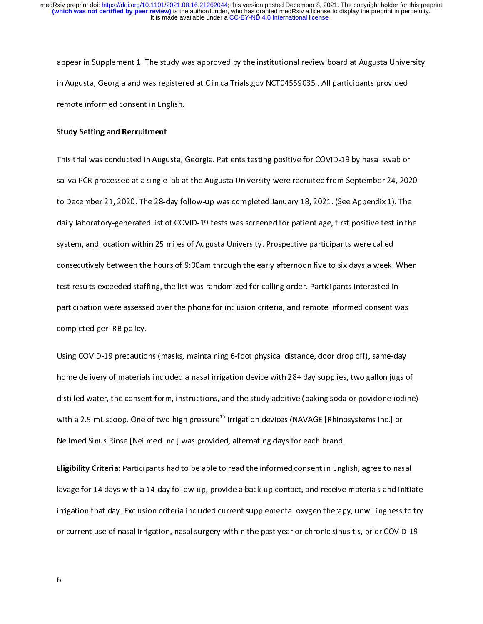in Augusta, Georgia and was registered at ClinicalTrials.gov NCT04559035 . All participants provided<br>remote informed consent in English.<br>Study Setting and Recruitment<br>This trial was conducted in Augusta Georgia. Patients t

### Study Setting and Recruitment

in Augusta, Georgia and Recruitment<br>Study Setting and Recruitment<br>This trial was conducted in Augusta, Georgia. Patients testing positive for COVID-19 by nasal swab or<br>Saliva PCR processed at a single lab at the Augusta Un Study Setting and Recruitment<br>This trial was conducted in Augusta, (<br>saliva PCR processed at a single lab a<br>to December 21, 2020. The 28-day fo Saliva PCR processed at a single lab at the Augusta University were recruited from September 24, 202<br>This trial was completed January 18, 2021. (See Appendix 1). The<br>daily laboratory-generated list of COVID-19 tests was sc saliva Proper 21, 2020. The 28-day follow-up was completed January 18, 2021. (See Appendix 1). The daily laboratory-generated list of COVID-19 tests was screened for patient age, first positive test in the system, and loca daily laboratory-generated list of COVID-19 tests was screened for patient age, first positive test in the system, and location within 25 miles of Augusta University. Prospective participants were called consecutively betw date, and location within 25 miles of Augusta University. Prospective participants were called<br>consecutively between the hours of 9:00am through the early afternoon five to six days a week. When<br>test results exceeded staff system, and the bours of 9:00am through the early afternoon five to six days a week.<br>These tresults exceeded staffing, the list was randomized for calling order. Participants interested in<br>participation were assessed over consecutively test results exceeded staffing, the list was randomized for calling order. Participants interested in<br>participation were assessed over the phone for inclusion criteria, and remote informed consent was<br>complet test results interests rating, in the line transmision criteria, and remote informed consent w<br>participation were assessed over the phone for inclusion criteria, and remote informed consent w<br>completed per IRB policy.<br>Usin

particular completed per IRB policy.<br>
Using COVID-19 precautions (masks, maintaining 6-foot physical distance, door drop off), same-day<br>
home delivery of materials included a nasal irrigation device with 28+ day supplies, Using COVID-19 precautio<br>home delivery of materials<br>distilled water, the consen<br>with a 2.5 mL scoop. One of Using COVID-19 precisions, maintaining COVID-physical distributions, same displaining the precision of the dist<br>home delivery of materials included a nasal irrigation device with 28+ day supplies, two gallon jugs c<br>distill distilled water, the consent form, instructions, and the study additive (baking soda or povidone-iodine<br>with a 2.5 mL scoop. One of two high pressure<sup>15</sup> irrigation devices (NAVAGE [Rhinosystems lnc.] or<br>Neilmed Sinus Rins Mith a 2.5 mL scoop. One of two high pressure<sup>15</sup> irrigation devices (NAVAGE [Rhinosystems Inc.] or<br>Neilmed Sinus Rinse [Neilmed Inc.] was provided, alternating days for each brand.<br>**Eligibility Criteria:** Participants had

with a 2.5 mL scoop. One of two high pressure<sup>25</sup> irrigation devices (NAVAGE [Rhinosystems Inc.] or<br>Neilmed Sinus Rinse [Neilmed Inc.] was provided, alternating days for each brand.<br>**Eligibility Criteria:** Participants had Eligibility Criteria: Participants had to be able to read the informed consent in Engl<br>Iavage for 14 days with a 14-day follow-up, provide a back-up contact, and receive<br>Irrigation that day. Exclusion criteria included cur Englishity Criteria: Participants had to be able to read the informed consent in English, agree to nasal<br>lavage for 14 days with a 14-day follow-up, provide a back-up contact, and receive materials and initia<br>irrigation th Irrigation that day. Exclusion criteria included current supplemental oxygen therapy, unwillingness to try<br>or current use of nasal irrigation, nasal surgery within the past year or chronic sinusitis, prior COVID-19<br>6 ingularity that day. Exclusion that day and surgery within the past year or chronic sinusitis, prior COVID-19<br>or current use of nasal irrigation, nasal surgery within the past year or chronic sinusitis, prior COVID-19<br>6 or current use of nasal irrigation, nasal surgery within the past year or chronic sinusitis, prior COVID-19<br>The past year or chronic sinusitis, prior COVID-19<br>The past year or chronic sinusitis, prior COVID-19<br>The past yea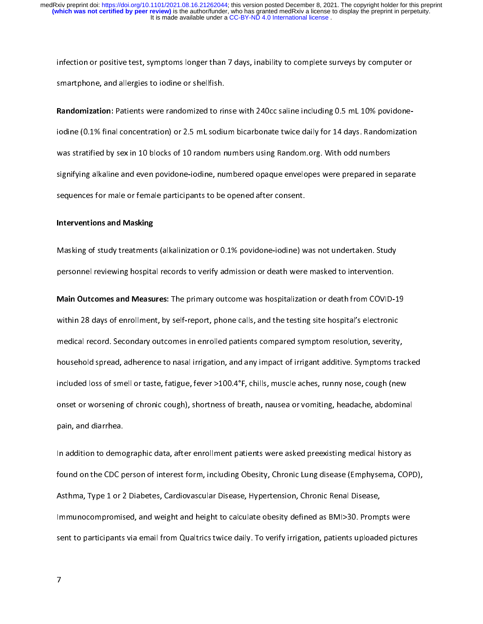smartphone, and allergies to iodine or shellfish.<br> **Randomization:** Patients were randomized to rinse with 240cc saline including 0.5 mL 10% povidone-<br>
iodine (0.1% final concentration) or 2.5 mL sodium bicarbonate twice d Randomization: Patients were randomized to rincodine (0.1% final concentration) or 2.5 mL sodiu<br>was stratified by sex in 10 blocks of 10 random r<br>signifying alkaline and even povidone-iodine, nu Randomization: Patients were randomized to rinse with 240cc same melduring 0.5 mL 10% povidone<br>iodine (0.1% final concentration) or 2.5 mL sodium bicarbonate twice daily for 14 days. Randomization<br>was stratified by sex in was stratified by sex in 10 blocks of 10 random numbers using Random.org. With odd numbers<br>signifying alkaline and even povidone-iodine, numbered opaque envelopes were prepared in separate<br>sequences for male or female part was stratified by server and the transformation of 10 plants in 10 random stratified by sex in 10 random.<br>Signifying alkaline and even povidone-iodine, numbered opaque envelopes were prepared in se<br>Sequences for male or fe

### Interventions and Masking

sequences for male or female participants to be opened after consent.<br>Interventions and Masking<br>Masking of study treatments (alkalinization or 0.1% povidone-iodine) was not undertaken. Study<br>personnel reviewing bospital re sequences for male or female participants to be opened after consent.<br>Interventions and Masking<br>Masking of study treatments (alkalinization or 0.1% povidone-iodine) w<br>personnel reviewing hospital records to verify admissio

Masking of study treatments (allowable of study polation cannot chain allow provided to intervention.<br>Main Outcomes and Measures: The primary outcome was hospitalization or death from COVID-1<br>within 28 days of enrollment, Main Outcomes and Measures: The primary outcome was hospitalization or death from COVID-<br>within 28 days of enrollment, by self-report, phone calls, and the testing site hospital's electronic<br>medical record. Secondary outco Main Outcomes and Measures: The primary outcome was hospitalization or death from COVID-19<br>within 28 days of enrollment, by self-report, phone calls, and the testing site hospital's electronic<br>medical record. Secondary out which 28 days of enrollment, by self-report, phone calls, and the testing site depthent electronic<br>medical record. Secondary outcomes in enrolled patients compared symptom resolution, severity<br>household spread, adherence t medical record. Secondary increases the use of the secondary increases the secondary included loss of smell or taste, fatigue, fever >100.4°F, chills, muscle aches, runny nose, cough (nevonset or worsening of chronic cough included loss of smell or taste, fatigue, fever >100.4°F, chills, muscle aches, runny nose, cough (new<br>onset or worsening of chronic cough), shortness of breath, nausea or vomiting, headache, abdominal<br>pain, and diarrhea.<br> included and the onset or worsening of chronic cough), shortness of breath, nausea or vomiting, headache, abdominary<br>pain, and diarrhea.<br>In addition to demographic data, after enrollment patients were asked preexisting med

pain, and diarrhea.<br>In addition to demographic data, after enrollment patients were asked preexisting medical history as<br>found on the CDC person of interest form, including Obesity, Chronic Lung disease (Emphysema, COPI<br>As pain<br>In addition to demo<br>found on the CDC p<br>Asthma, Type 1 or 2<br>Immunocompromis In addition to demographic data, and weight out of the entity. Chronic Lung disease (Emphysema, COP<br>Asthma, Type 1 or 2 Diabetes, Cardiovascular Disease, Hypertension, Chronic Renal Disease,<br>Immunocompromised, and weight a Found on the CDC person of interest found, including Obesity, The Chronic Lung disease (Emphysema, 2012),<br>Asthma, Type 1 or 2 Diabetes, Cardiovascular Disease, Hypertension, Chronic Renal Disease,<br>Immunocompromised, and we Astherman is a proportional or 2 Diamon compromised, and weight and height to calculate obesity defined as BMI>30. Promprent to participants via email from Qualtrics twice daily. To verify irrigation, patients uploade<br>The Immunocompromised, and reight and height calculate obesity defined as BMI-2019<br>Sent to participants via email from Qualtrics twice daily. To verify irrigation, patients uploaded picture<br>7 sent to participants via email from Qualtrics twice daily. To verify irrigation, patients uploaded pictures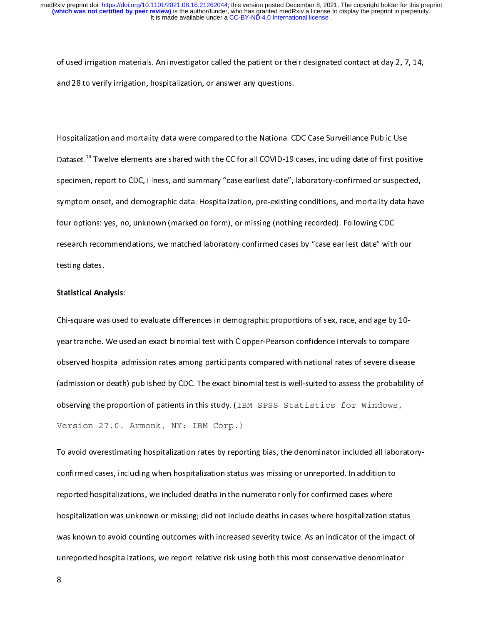of used in galaxi materials. In investigator called the patient or their designated contact at day 2, 7, 2, 7,<br>and 28 to verify irrigation, hospitalization, or answer any questions.<br>Hospitalization and mortality data were

and 28 to verify irrigation, hospitalization, or answer any questions.<br>Hospitalization and mortality data were compared to the National CDC Case Surveillance Public Use |<br>|<br>! Dataset.<sup>14</sup> Twelve elements are shared with the CC for all COVID-19 cases, including date of first positive<br>specimen, report to CDC, illness, and summary "case earliest date", laboratory-confirmed or suspected,<br>symptom on Dataset.<sup>47</sup> I welve elements are shared with the CC for all COVID-19 cases, including date of first positive<br>specimen, report to CDC, illness, and summary "case earliest date", laboratory-confirmed or suspected,<br>symptom o symptom onset, and demographic data. Hospitalization, pre-existing conditions, and mortality data have<br>four options: yes, no, unknown (marked on form), or missing (nothing recorded). Following CDC<br>research recommendations, symptour options: yes, no, unknown (marked on form), or missing (nothing recorded). Following CDC<br>research recommendations, we matched laboratory confirmed cases by "case earliest date" with our<br>testing dates. four options: yes, no, annual in (marked on form), or missing (norming recorded). For ming CDC<br>research recommendations, we matched laboratory confirmed cases by "case earliest date" with<br>testing dates.<br>Statistical Analysi resting dates.<br>Fresting dates.<br>Chi-square was used to evaluate differences in demographic proportions of sex. race, and age by 10-

# Statistical Analysis:

U<br>Statistical Ana<br>Chi-square wa<br>vear tranche. Enterprise was used to evaluate uncertainted to although proportions of the space, and age by 10-<br>year tranche. We used an exact binomial test with Clopper-Pearson confidence intervals to compare<br>observed hospital admissio observed hospital admission rates among participants compared with national rates of severe disease<br>(admission or death) published by CDC. The exact binomial test is well-suited to assess the probability<br>observing the prop (admission or death) published by CDC. The exact binomial test is well-suited to assess the probability of<br>observing the proportion of patients in this study. (IBM SPSS Statistics for Windows, Version 27.0. Armonk, NY: IBM Corp.)

To avoid overestimating hospitalization rates by reporting bias, the denominator included all laboratoryobserving the proportion of patients in this study. (IBM SPSS Statistics for Windows,<br>Version 27.0. Armonk, NY: IBM Corp.)<br>To avoid overestimating hospitalization rates by reporting bias, the denominator included all labor reported hospitalizations, we included deaths in the numerator only for confirmed cases where<br>hospitalization was unknown or missing; did not include deaths in cases where hospitalization status was known to avoid counting reported hospitalization was unknown or missing; did not include deaths in cases where hospitalization st<br>was known to avoid counting outcomes with increased severity twice. As an indicator of the imp<br>unreported hospitaliz was known to avoid counting outcomes with increased severity twice. As an indicator of the impact of unreported hospitalizations, we report relative risk using both this most conservative denominator 8 was known to applicate the spitalizations, we report relative risk using both this most conservative denominator of the impact of the impact of the impact of the impact of the impact of the impact of the impact of the impa unreproteinteproteins, we represent this most conservative risk using both this most conservative denominator<br>8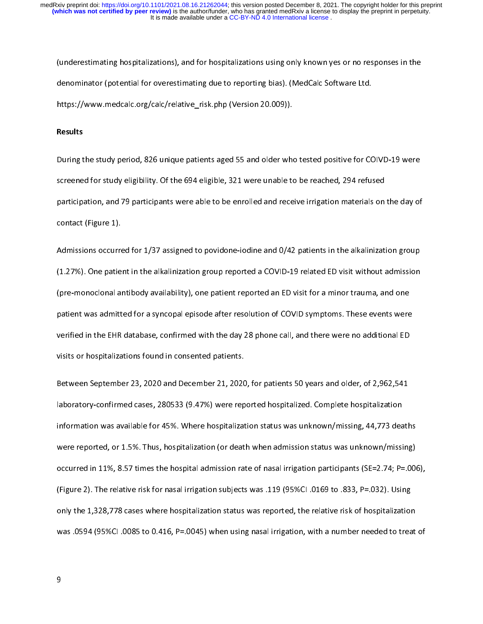(understanding despitalization), and for hospitalizations using only the the yes or no response in the<br>denominator (potential for overestimating due to reporting bias). (MedCalc Software Ltd.<br>https://www.medcalc.org/calc/r denominator (potential for our fields://www.medcalc.org/calc/relative\_risk.php (Version 20.009)).<br>Results<br>During the study period. 826 unique patients aged 55 and older who tested positive for CC

### Results

https://www.medcalc.org/calc/relative\_risk.php (Version 20.009)).<br>Results<br>During the study period, 826 unique patients aged 55 and older who tested positive for COIVD-19 were<br>screened for study eligibility. Of the 694 elig Buring the study eligibility. Of the 694 eligible, 321 were unable to be reached, 294 refused<br>participation, and 79 participants were able to be enrolled and receive irrigation materials on the day of<br>contact (Figure 1). sa sensure for study engines, sensure, 321 engines, 322 were unable to decreasingly 29 refused.<br>participation, and 79 participants were able to be enrolled and receive irrigation materials on<br>contact (Figure 1).<br>Admissions

participation, and 79 participation, and 79 participants were contact (Figure 1).<br>Admissions occurred for 1/37 assigned to povidone-iodine and 0/42 patients in the alkalinization group<br>(1.27%). One patient in the alkaliniz  $Admissions$  occurre<br>(1.27%). One patie<br>(pre-monoclonal are (1.27%). One patient in the alkalinization group reported a COVID-19 related ED visit without admission<br>(pre-monoclonal antibody availability), one patient reported an ED visit for a minor trauma, and one<br>patient was admit (pre-monoclonal antibody availability), one patient reported an ED visit for a minor trauma, and one<br>patient was admitted for a syncopal episode after resolution of COVID symptoms. These events were<br>verified in the EHR dat (pre-monoclonal antibody availability), one patient reported an ED visit for a minor trauma, and one<br>patient was admitted for a syncopal episode after resolution of COVID symptoms. These events were<br>verified in the EHR dat patient was admitted for a syncopal episode after resolution of COVID symptoms. We<br>covided in the EHR database, confirmed with the day 28 phone call, and there were no additional ED<br>visits or hospitalizations found in cons

visits or hospitalizations found in consented patients.<br>Between September 23, 2020 and December 21, 2020, for patients 50 years and older, of 2,962,541<br>laboratory-confirmed cases, 280533 (9.47%) were reported hospitalized. visits or hospitalizations or homein consented patients.<br>Between September 23, 2020 and December 21, 2020<br>laboratory-confirmed cases, 280533 (9.47%) were rep<br>information was available for 45%. Where hospitalizat laboratory-confirmed cases, 280533 (9.47%) were reported hospitalized. Complete hospitalization<br>information was available for 45%. Where hospitalization status was unknown/missing, 44,773 deaths<br>were reported, or 1.5%. Thu occurred in 11%, 8.57 times the hospital admission rate of nasal irrigation participants (SE=2.74; P=.006), were reported, or 1.5%. Thus, hospitalization (or death when admission status was unknown/missing)<br>occurred in 11%, 8.57 times the hospital admission rate of nasal irrigation participants (SE=2.74; P=.006<br>(Figure 2). The r occurred in 11%, 8.57 times the hospital admission rate of nasal irrigation participants (SE=2.74; P=.006)<br>(Figure 2). The relative risk for nasal irrigation subjects was .119 (95%Cl .0169 to .833, P=.032). Using<br>only the occurred 2). The relative risk for nasal irrigation subjects was .119 (95%Cl .0169 to .833, P=.032). Using<br>only the 1,328,778 cases where hospitalization status was reported, the relative risk of hospitalization<br>was .0594 only the 1,328,778 cases where hospitalization status was reported, the relative risk of hospitalization was .0594 (95%Cl .0085 to 0.416, P=.0045) when using nasal irrigation, with a number needed to treat of<br>9 was .0594 (95%CI .0094) when using nasal irrigation, with a number needed to treat of treat of treat of treat<br>Distribution, with a number needed to treat of treat of treat of treat of treat of treat of treat of treat of<br>Di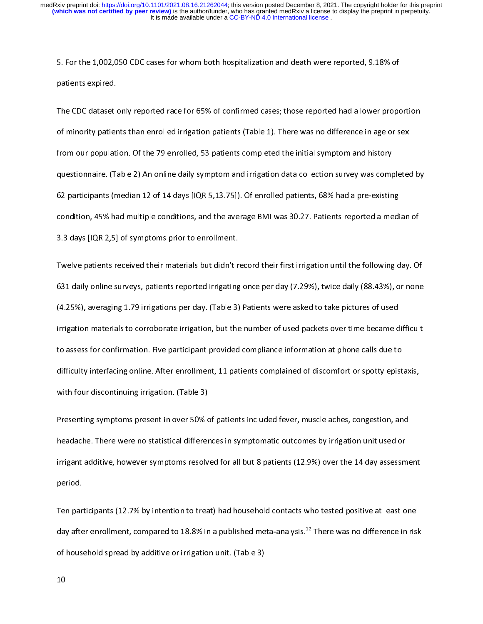patients expired.<br>The CDC dataset only reported race for 65% of confirmed cases; those reported had a lower proportion<br>of minority patients than enrolled irrigation patients (Table 1). There was no difference in age or s patients of<br>The CDC dataset<br>of minority patien<br>from our populati of minority patients than enrolled irrigation patients (Table 1). There was no difference in age or sex<br>from our population. Of the 79 enrolled, 53 patients completed the initial symptom and history<br>questionnaire. (Table 2 of from our population. Of the 79 enrolled, 53 patients completed the initial symptom and history<br>questionnaire. (Table 2) An online daily symptom and irrigation data collection survey was completed<br>62 participants (median from our population. The 79 cm over patients compresed the initial symptom and apple the initial symptom and irrigation data collection survey was completed patients (median 12 of 14 days [IQR 5,13.75]). Of enrolled patien question and the daily of the 2) An original of the 2) An original spatialists of the existing condition, 45% had multiple conditions, and the average BMI was 30.27. Patients reported a median of 3.3 days [IQR 2,5] of symp condition, 45% had multiple conditions, and the average BMI was 30.27. Patients reported a median of<br>3.3 days [IQR 2,5] of symptoms prior to enrollment.

condition, 45% had multiple conditions, and the average BMI was started a please a median of<br>3.3 days [IQR 2,5] of symptoms prior to enrollment.<br>Twelve patients received their materials but didn't record their first irriga 3.3 Twelve patients received their materials but didn't r<br>331 daily online surveys, patients reported irrigating<br>(4.25%), averaging 1.79 irrigations per day. (Table 3) 631 daily online surveys, patients reported irrigating once per day (7.29%), twice daily (88.43%), or none<br>(4.25%), averaging 1.79 irrigations per day. (Table 3) Patients were asked to take pictures of used (4.25%), averaging 1.79 irrigations per day. (Table 3) Patients were asked to take pictures of used<br>Irrigation materials to corroborate irrigation, but the number of used packets over time became difficult<br>to assess for co (4.25%), irrigation materials to corroborate irrigation, but the number of used packets over time became d<br>to assess for confirmation. Five participant provided compliance information at phone calls due to<br>difficulty inter ing a construction of the number of used parameters of used patterns on the number of used patterns and the number of used to difficulty interfacing online. After enrollment, 11 patients complained of discomfort or spotty to assess for confirmation. Five participant provided compliance information at phone calls due to<br>difficulty interfacing online. After enrollment, 11 patients complained of discomfort or spotty epistaxis,<br>with four discon

outh four discontinuing irrigation. (Table 3)<br>Presenting symptoms present in over 50% of patients included fever, muscle aches, congestion, and<br>headache. There were no statistical differences in symptomatic outcomes by irr Presenting symptoms present in over 50% of patients included fever, muscle aches, congestion, and<br>headache. There were no statistical differences in symptomatic outcomes by irrigation unit used or<br>irrigant additive, howeve Presenting symptoms in our control of present in our comes by irrigation unit used or<br>Present additive, however symptoms resolved for all but 8 patients (12.9%) over the 14 day assessme<br>period. period.<br>Ten participants (12.7% by intention to treat) had household contacts who tested positive at least one

ingant additive, however symptoms resolved for all but 8 patients (12.9%) over the 14 day attention.<br>Ten participants (12.7% by intention to treat) had household contacts who tested positive at least one<br>day after enrollme r<br>Ten par<br>day afte<br>of hous Ten participants (22.7% by intention to treat) had household contacts who tested positive at least one<br>day after enrollment, compared to 18.8% in a published meta-analysis.<sup>12</sup> There was no difference in ris<br>of household s day after enrollment, compared to 18.8% in a published meta-analysis.<sup>12</sup> There was no difference in risk<br>of household spread by additive or irrigation unit. (Table 3)<br>10  $\begin{align} \n\begin{aligned}\n10\n\end{aligned}\n\end{align}$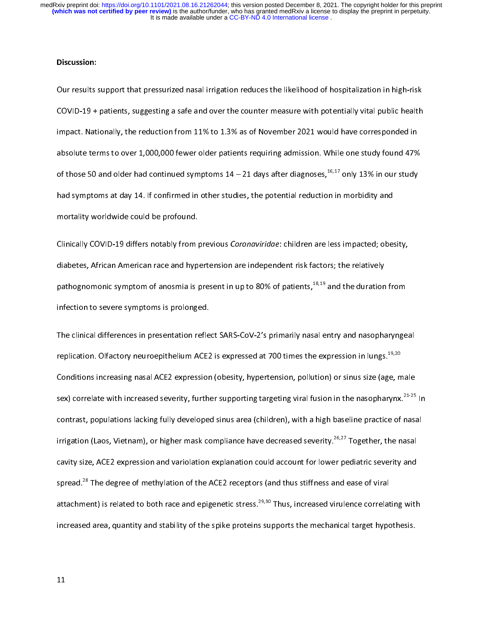# Discussion:

Our results support that pressurized nasal irrigation reduces the likelihood of hospitalization in high-risk<br>COVID-19 + patients, suggesting a safe and over the counter measure with potentially vital public health<br>impact. impact. Nationally, the reduction from 11% to 1.3% as of November 2021 would have corresponded in<br>absolute terms to over 1,000,000 fewer older patients requiring admission. While one study found 47%<br>of those 50 and older absolute terms to over 1,000,000 fewer older patients requiring admission. While one study found 47% of those 50 and older had continued symptoms  $14 - 21$  days after diagnoses,  $^{16,17}$  only 13% in our study had symptoms absolute terms to over  $2,000$ , of those 50 and older had continued symptoms  $14 - 21$  days after diagnoses,  $^{16,17}$  only  $13\%$  in our study had symptoms at day 14. If confirmed in other studies, the potential reduction of those 50 and older had continued symptoms 14 – 21 days after diagnoses,<sup>20,27</sup> only 13% in our study<br>had symptoms at day 14. If confirmed in other studies, the potential reduction in morbidity and<br>mortality worldwide co had symptoms at day 14. If confirmed in other studies, the potential reduction in morbidity and<br>mortality worldwide could be profound.<br>Clinically COVID-19 differs notably from previous *Coronaviridae*: children are less im

mortality worldwide could be profound.<br>Clinically COVID-19 differs notably from p<br>diabetes, African American race and hype<br>pathognomonic symptom of anosmia is p COVID-19 differs notably from previous coronaviridate: children are less impacted; obesity,<br>diabetes, African American race and hypertension are independent risk factors; the relatively<br>pathognomonic symptom of anosmia is pathognomonic symptom of anosmia is present in up to 80% of patients,<sup>18,19</sup> and the duration<br>infection to severe symptoms is prolonged.<br>The clinical differences in presentation reflect SARS-CoV-2's primarily nasal entry a

pathognomonic symptom of anosmia is present in up to 80% of patients,<sup>49,19</sup> and the duration from<br>infection to severe symptoms is prolonged.<br>The clinical differences in presentation reflect SARS-CoV-2's primarily nasal en The clinical differences in presentation refle<br>replication. Olfactory neuroepithelium ACE2<br>Conditions increasing nasal ACE2 expressior The condition. Olfactory neuroepithelium ACE2 is expressed at 700 times the expression in lungs.<sup>19,20</sup><br>Conditions increasing nasal ACE2 expression (obesity, hypertension, pollution) or sinus size (age, male<br>sex) correlate Conditions increasing nasal ACE2 expression (obesity, hypertension, pollution) or sinus size (age, male<br>sex) correlate with increased severity, further supporting targeting viral fusion in the nasopharynx.<sup>21-25</sup> Ir<br>contra sex) correlate with increased severity, further supporting targeting viral fusion in the nasopharynx.<sup>21-25</sup> In sex) correlate with increased severity, further supporting targeting viral fusion in the nasopharynx.<sup>21-25</sup> In<br>contrast, populations lacking fully developed sinus area (children), with a high baseline practice of nasal<br>ir irrigation (Laos, Vietnam), or higher mask compliance have decreased severity.<sup>26,27</sup> Together, the nasal<br>cavity size, ACE2 expression and variolation explanation could account for lower pediatric severity and<br>spread.<sup>28</sup> irrigation (Laos, Vietnam), or higher mask compliance have decreased severity.<sup>20,27</sup> Together, the nasal<br>cavity size, ACE2 expression and variolation explanation could account for lower pediatric severity and<br>spread.<sup>28</sup> spread.<sup>28</sup> The degree of methylation of the ACE2 receptors (and thus stiffness and ease of viral<br>attachment) is related to both race and epigenetic stress.<sup>29,30</sup> Thus, increased virulence correlating with<br>increased area, spread.<sup>20</sup> The degree of methylation of the ACE2 receptors (and thus stiffness and ease of viral<br>attachment) is related to both race and epigenetic stress.<sup>29,30</sup> Thus, increased virulence correlat<br>increased area, quantit attachment) is related to both race and epigenetic stress.<sup>29,30</sup> Thus, increased virulence correlating with<br>increased area, quantity and stability of the spike proteins supports the mechanical target hypothesis.<br>11 increased area, quantity and stability of the spike proteins supports the mechanical target hypothesis.<br>11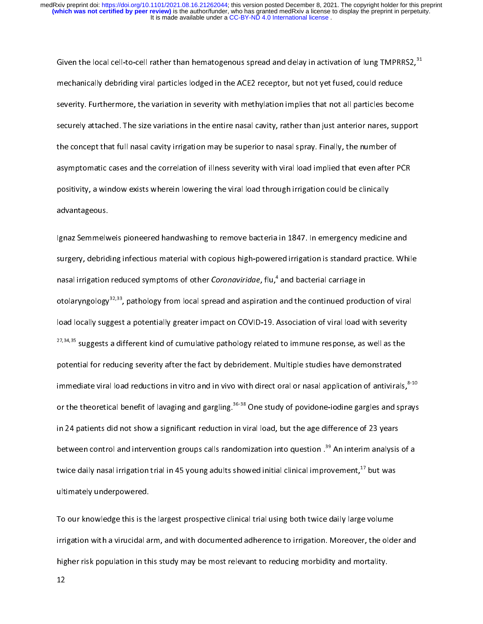Given the local cell-to-cell rather than hematogenous spread and delay in activation of lung TMPRRS2,<sup>31</sup><br>mechanically debriding viral particles lodged in the ACE2 receptor, but not yet fused, could reduce<br>severity. Furthe mechanically debriding viral particles lodged in the ACE2 receptor, but not yet fused, could reduce<br>severity. Furthermore, the variation in severity with methylation implies that not all particles become securely attached. The size variations in the entire nasal cavity, rather than just anterior nares, support<br>the concept that full nasal cavity irrigation may be superior to nasal spray. Finally, the number of<br>asymptomatic the concept that full nasal cavity irrigation may be superior to nasal spray. Finally, the number of<br>asymptomatic cases and the correlation of illness severity with viral load implied that even after F<br>positivity, a window asymptomatic cases and the correlation of illness severity with viral load implied that even after PCR<br>positivity, a window exists wherein lowering the viral load through irrigation could be clinically<br>advantageous. asymptomatic cases and the correlation of initial correlation, that there as implied that even after PCR.<br>positivity, a window exists wherein lowering the viral load through irrigation could be clinically<br>lgnaz Semmelweis

positivity, a divantageous.<br>positivity, a divantageous.<br>positivity, a semmelweis pioneered handwashing to remove bacteria in 1847. In emergency medicine<br>surgery, debriding infectious material with copious high-powered irri surgery, debriding infectious material with copious high-powered irrigation is standard practice. While<br>nasal irrigation reduced symptoms of other *Coronaviridae*, flu,<sup>4</sup> and bacterial carriage in otolaryngology<sup>32,33</sup>, pathology from local spread and aspiration and the continued production of viral surgery, debriding infectious material with copious inglicipations of the continuation production material material material material continued in<br>otolaryngology<sup>32,33</sup>, pathology from local spread and aspiration and the c nasal irrigation reduced symptoms of other *Coronaviridae*, flu,<sup>-</sup> and bacterial carriage in<br>otolaryngology<sup>32,33</sup>, pathology from local spread and aspiration and the continued produ<br>load locally suggest a potentially gre otolaryngology<sup>92,33</sup>, pathology from local spread and aspiration and the continued production of viral<br>load locally suggest a potentially greater impact on COVID-19. Association of viral load with severity<br><sup>27,34,35</sup> sugg 27,34,35 suggests a different kind of cumulative pathology related to immune response, as well as the potential for reducing severity after the fact by debridement. Multiple studies have demonstrated immediate viral load r 27,34,35 suggests a different kind of cumulative pathology related to immune response, as well as the potential for reducing severity after the fact by debridement. Multiple studies have demonstrated immediate viral load r immediate viral load reductions in vitro and in vivo with direct oral or nasal application of antivirals<br>or the theoretical benefit of lavaging and gargling.<sup>36-38</sup> One study of povidone-iodine gargles and sp<br>in 24 patient immediate viral load reductions in vitro and in vivo with direct oral or nasal application of antivirals,<sup>810</sup><br>or the theoretical benefit of lavaging and gargling.<sup>36-38</sup> One study of povidone-iodine gargles and sprays<br>in or the theoretical benefit of lavaging and gargling.<sup>36-38</sup> One study of povidone-iodine gargles and sprays<br>in 24 patients did not show a significant reduction in viral load, but the age difference of 23 years<br>between cont in 24 patients did not show a significant reduction in the age difference of 23 years.<br>between control and intervention groups calls randomization into question .<sup>39</sup> An interim analysis<br>twice daily nasal irrigation trial twice daily nasal irrigation trial in 45 young adults showed initial clinical improvement, <sup>17</sup> but was<br>ultimately underpowered.

twice daily nasal irrigation trial in 45 young adults showed initial clinical improvement, " but was<br>ultimately underpowered.<br>To our knowledge this is the largest prospective clinical trial using both twice daily large vol To our knowledge this is th<br>irrigation with a virucidal a<br>higher risk population in th Irrigation with a virucidal arm, and with documented adherence to irrigation. Moreover, the old<br>higher risk population in this study may be most relevant to reducing morbidity and mortality.<br>12 ingener with a virtual arm, and with documented adderence to ingenerate to it, the older and<br>higher risk population in this study may be most relevant to reducing morbidity and mortality.<br>12  $\frac{1}{12}$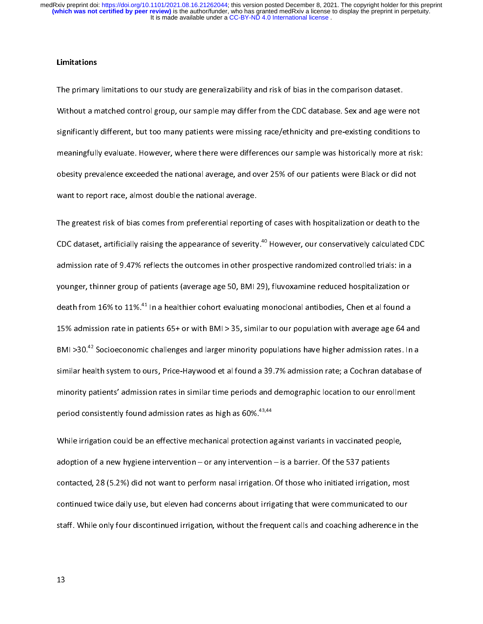**Limitations**<br>The primary<br>Without a m<br>significantly The primary limitations to our study are generalizability and risk of bias in the comparison dataset.<br>Without a matched control group, our sample may differ from the CDC database. Sex and age were not<br>significantly differe Significantly different, but too many patients were missing race/ethnicity and pre-existing conditions to<br>Meaningfully evaluate. However, where there were differences our sample was historically more at risk:<br>Sex and over shows interest of the set of the maningfully evaluate. However, where there were differences our sample was historically more at risk:<br>obesity prevalence exceeded the national average, and over 25% of our patients were Bla meaningfully examples the meaningfully interesting and over 25% of our patients were Black or did not<br>want to report race, almost double the national average.<br>The greatest risk of bias comes from preferential reporting of

obesity<br>want to report race, almost double the national average.<br>The greatest risk of bias comes from preferential reporting of cases with hospitalization or death to the<br>CDC dataset, artificially raising the appearance of The greatest risk of bias comes from preferential reportin<br>CDC dataset, artificially raising the appearance of severity<br>admission rate of 9.47% reflects the outcomes in other pr The greatest risk of the greatest risk operations of severity.<sup>40</sup> However, our conservatively calculated CDC<br>admission rate of 9.47% reflects the outcomes in other prospective randomized controlled trials: in a<br>younger, t CDC dataset, artificially raising the appearance of severity.<sup>40</sup> However, our conservatively calculated CDC<br>admission rate of 9.47% reflects the outcomes in other prospective randomized controlled trials: in a<br>younger, th younger, thinner group of patients (average age 50, BMI 29), fluvoxamine reduced hospitalization or<br>death from 16% to 11%.<sup>41</sup> In a healthier cohort evaluating monoclonal antibodies, Chen et al found a<br>15% admission rate i younger, minimer group of patients (average age 50, BMI 29), minimum reduced hospitalization or<br>death from 16% to 11%.<sup>41</sup> In a healthier cohort evaluating monoclonal antibodies, Chen et al found a<br>15% admission rate in pa death from 16% to 11%.<sup>42</sup> In a healthier cohort evaluating monoclonal antibodies, Chen et al found a<br>15% admission rate in patients 65+ or with BMI > 35, similar to our population with average age 64 an<br>BMI >30.<sup>42</sup> Socio 15 Admission rate in patients 65 + 0 minismiliary summances in perparation ratio as angles age 64 and<br>15 BMI > 30.<sup>42</sup> Socioeconomic challenges and larger minority populations have higher admission rates. In a<br>15 similar h BMI >30.<sup>42</sup> Socioeconomic challenges and larger minority populations have higher admission rates. In a<br>similar health system to ours, Price-Haywood et al found a 39.7% admission rate; a Cochran database of<br>minority patien similar time periods and demographic location to our enrollment<br>period consistently found admission rates as high as 60%.<sup>43,44</sup><br>While irrigation could be an effective mechanical protection against variants in vaccinated p

minority patients admission rates as high as 60%.<sup>43,44</sup><br>period consistently found admission rates as high as 60%.<sup>43,44</sup><br>While irrigation could be an effective mechanical protection against variants in vaccinated people,<br> period consistently found admission rates as high as 60%.<sup>43,44</sup><br>While irrigation could be an effective mechanical protection a<br>adoption of a new hygiene intervention – or any intervention<br>contacted, 28 (5.2%) did not want adoption of a new hygiene intervention – or any intervention – is a barrier. Of the 537 patients<br>contacted, 28 (5.2%) did not want to perform nasal irrigation. Of those who initiated irrigation, mo<br>continued twice daily us contacted, 28 (5.2%) did not want to perform nasal irrigation. Of those who initiated irrigation, most<br>continued twice daily use, but eleven had concerns about irrigating that were communicated to our continued twice daily use, but eleven had concerns about irrigating that were communicated to our<br>staff. While only four discontinued irrigation, without the frequent calls and coaching adherence in the<br>those who in the fr continued intervals use of the frequent calls and coaching adherence in that<br>its data concerns above in that we request calls and coaching adherence in that we<br>define that we request calls and coaching adherence in that we staff. While only four discontinued internation, without the frequent calls and coaching addition, without the<br>13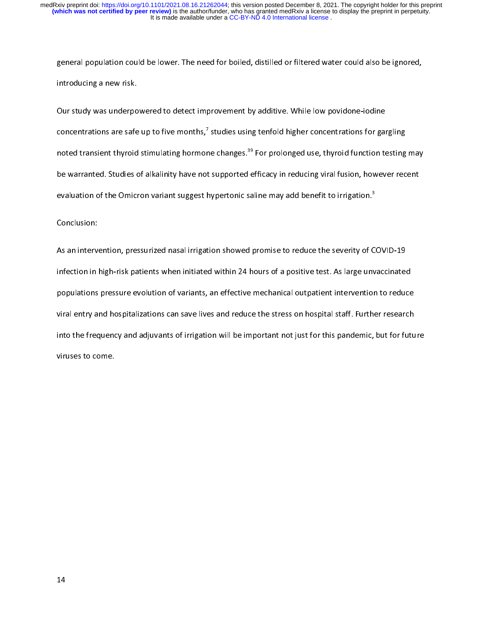general population could be lower. The need for boiled, distilled or filtered water could also be ignored,<br>introducing a new risk.<br>Our study was underpowered to detect improvement by additive. While low povidone-iodine<br>con

Our study was underpo<br>concentrations are safe<br>noted transient thyroid concentrations are safe up to five months,<sup>7</sup> studies using tenfold higher concentrations for gare<br>noted transient thyroid stimulating hormone changes.<sup>39</sup> For prolonged use, thyroid function to<br>be warranted. Studies of a concentrations are safe up to five months,' studies using tenfold higher concentrations for gargling<br>noted transient thyroid stimulating hormone changes.<sup>39</sup> For prolonged use, thyroid function testing<br>be warranted. Studie noted transient thyroid stimulating hormone changes.<sup>39</sup> For prolonged use, thyroid function testing may<br>be warranted. Studies of alkalinity have not supported efficacy in reducing viral fusion, however recent<br>evaluation o be warranted. Studies of alkalinity have not supported efficacy in reducing viral fusion, however recent<br>evaluation of the Omicron variant suggest hypertonic saline may add benefit to irrigation.<sup>3</sup><br>Conclusion:

evaluation of the Omicron variant suggest hypertonic saline may add benefit to irrigation."<br>Conclusion:<br>As an intervention, pressurized nasal irrigation showed promise to reduce the severity of C<br>infection in high-risk pat  $\frac{1}{2}$ Expression<br>As an interve<br>infection in I<br>populations infection in high-risk patients when initiated within 24 hours of a positive test. As large unvaccinated<br>populations pressure evolution of variants, an effective mechanical outpatient intervention to reduce<br>viral entry and populations pressure evolution of variants, an effective mechanical outpatient intervention to reduce preparations present evolutions of variants, an effective mechanical outpatient intervention of variate<br>viral entry and hospitalizations can save lives and reduce the stress on hospital staff. Further research<br>into the fre into the frequency and adjuvants of irrigation will be important not just for this pandemic, but for futu<br>viruses to come.  $i$  into the frequency and adjust for the important not  $j$  is parameter in  $j$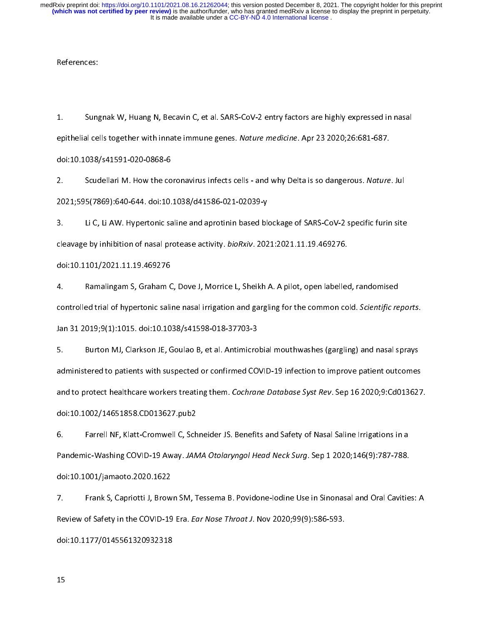References<br>1. Sung<br>epithelial cel  $rac{1}{\epsilon}$ 1. Sungnak W, Huang N, Becavin C, et al. SARS-CoV-2 entry factors are highly expressed in nasal<br>epithelial cells together with innate immune genes. Nature medicine. Apr 23 2020;26:681-687.<br>doi:10.1038/s41591-020-0868-6<br>2.

epithelial cells together with linnate immune genes. Nature medicine. Apr 23 2020,20:001 067.<br>doi:10.1038/s41591-020-0868-6<br>2. Scudellari M. How the coronavirus infects cells - and why Delta is so dangerous. Nature<br>2021;59 2021;595(7869):640-644. doi:10.1038/d41586-021-02039-y<br>3. Li C, Li AW. Hypertonic saline and aprotinin based blockage of SARS-CoV-2 specific furin site

2. Scudellari M. How the coronavirus infects cells - and why Delta is so dangerous. Nature. July 2021;595(7869):640-644. doi:10.1038/d41586-021-02039-y<br>3. Li C, Li AW. Hypertonic saline and aprotinin based blockage of SARS cleavage by inhibition of nasal protease activity. *bioRxiv*. 2021:2021.11.19.469276.<br>doi:10.1101/2021.11.19.469276 3. Li C, Li AW. Hypertonic saline and aprotinin based blockage of SARS-CoV-2 specific furin site

cleavage by inhibition of nasal protease activity. BioNAW: 2021:2021.11.19.469276.<br>doi:10.1101/2021.11.19.469276<br>4. Ramalingam S, Graham C, Dove J, Morrice L, Sheikh A. A pilot, open labelled<br>controlled trial of hypertonic 4. Ramalingam S, Graham C<br>controlled trial of hypertonic salin<br>Jan 31 2019;9(1):1015. doi:10.10 4. Ramalingam S, Graham S, EULES, MEMELES, MEMELES, Open labelled, Canadian Controlled trial of hypertonic saline nasal irrigation and gargling for the common cold. Scientific re<br>Jan 31 2019;9(1):1015. doi:10.1038/s41598-0

Jan 31 2019;9(1):1015. doi:10.1038/s41598-018-37703-3<br>5. Burton MJ, Clarkson JE, Goulao B, et al. Antimicrobial mouthwashes (gargling) and nasal sprays<br>administered to patients with suspected or confirmed COVID-19 infectio Burton MJ, Clarkson JE, Goulao B, et al. Antimicro<br>administered to patients with suspected or confirmed CO<br>and to protect healthcare workers treating them. Cochrar administered to patients with suspected or confirmed COVID-19 infection to improve patient outcomes<br>and to protect healthcare workers treating them. Cochrane Database Syst Rev. Sep 16 2020;9:Cd01362<br>doi:10.1002/14651858.CD and to protect healthcare workers treating them. *Cochrane Database Syst Rev*. Sep 16 2020;9:Cd013627<br>doi:10.1002/14651858.CD013627.pub2<br>6. Farrell NF, Klatt-Cromwell C, Schneider JS. Benefits and Safety of Nas

and to protect healthcare workers treating them. Cochrane Database Syst Rev. Sep 16 2020, 5:Cd013627.<br>doi:10.1002/14651858.CD013627.pub2<br>6. Farrell NF, Klatt-Cromwell C, Schneider JS. Benefits and Safety of Nasal Saline Ir 6. Farrell NF, Klatt-Cromwell C, Sch<br>Pandemic-Washing COVID-19 Away. JAM<br>doi:10.1001/jamaoto.2020.1622 Fandemic-Washing COVID-19 Away. *JAMA Otolaryngol Head Neck Surg*. Sep 1 2020;146(9):787-788.<br>doi:10.1001/jamaoto.2020.1622<br>7. Frank S, Capriotti J, Brown SM, Tessema B. Povidone-lodine Use in Sinonasal and Oral Cavitie

Pandemic-Washing COVID-19 Away. JAMA Otolaryngor Head Neck Surg. Sep 1 2020;146(9):787-788.<br>doi:10.1001/jamaoto.2020.1622<br>Prank S, Capriotti J, Brown SM, Tessema B. Povidone-lodine Use in Sinonasal and Oral Cavitie<br>Review doi:10.1001/jamaoto.2020.1622<br>7. Frank S, Capriotti J, Brown SM, Tessema B. Povidone-lodine Use in Sinonasal and Oral Cavities: A<br>Review of Safety in the COVID-19 Era. *Ear Nose Throat J*. Nov 2020;99(9):586-593.<br>doi:10.11 Review of Safety in the COVID-19 Era. *Ear Nose Throat J*. Nov 2020;99(9):586-593.<br>doi:10.1177/0145561320932318 Review of Safety in the COVID-19 Era. Ear Nose Throat J. Nov 2020,99(9):586-593.<br>doi:10.1177/0145561320932318<br>15

doi:1,12.11.11.11.11<br>15<br>3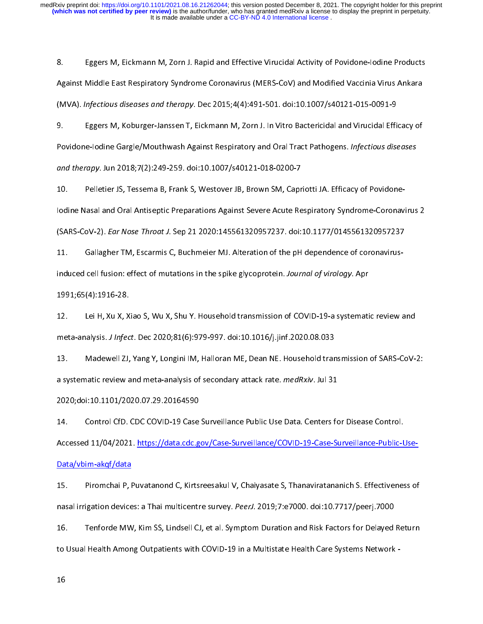8. Eggers M, Eistmann M, Eickmann M, Economic MERS-CoV) and Modified Vaccinia Virus Ankara<br>(MVA). *Infectious diseases and therapy*. Dec 2015;4(4):491-501. doi:10.1007/s40121-015-0091-9<br>9. Eggers M, Koburger-Janssen T, Eic

(MVA). *Infectious diseases and therapy*. Dec 2015;4(4):491-501. doi:10.1007/s40121-015-0091-9<br>9. Eggers M, Koburger-Janssen T, Eickmann M, Zorn J. In Vitro Bactericidal and Virucidal Efficacy of<br>Povidone-Iodine Gargle/Mou (MVA). Infectious diseases and therapy. Dec 2015;4(4):491-901. doi:10.1007/s40121-015-0091-9<br>9. Eggers M, Koburger-Janssen T, Eickmann M, Zorn J. In Vitro Bactericidal and Virucidal Effi<br>Povidone-lodine Gargle/Mouthwash Ag 9. Eggers M, Koburger-Janssen T, Eichmann M, Eichmann M, Eickmann M, Tholendal Efficacy (1998)<br>Povidone-Jodine Gargle/Mouthwash Against Respiratory and Oral Tract Pathogens. Infectious diseases<br>and therapy. Jun 2018;7(2):2

Povidone-Iodine-Gargle/Model Mash Against Respiratory and Oral Tract Pathogens. *Injectious diseases*<br>and therapy. Jun 2018;7(2):249-259. doi:10.1007/s40121-018-0200-7<br>10. Pelletier JS, Tessema B, Frank S, Westover JB, Bro and therapy. Jun 2018;7(2):249-259. doi:10.1007;340121-018-0200-7<br>10. Pelletier JS, Tessema B, Frank S, Westover JB, Brown SM, Capr<br>lodine Nasal and Oral Antiseptic Preparations Against Severe Acute Re<br>(SARS-CoV-2). *Ear N* 

ISBNS-CoV-2). *Ear Nose Throat J.* Sep 21 2020:145561320957237. doi:10.1177/0145561320957237<br>I1. Gallagher TM, Escarmis C, Buchmeier MJ. Alteration of the pH dependence of coronavirus-<br>induced cell fusion: effect of mutati (SARS-COV-2). Edit Nose Throat J. Sep 21 2020.145561320557237. doi:10.1177/0145561320557257<br>11. Gallagher TM, Escarmis C, Buchmeier MJ. Alteration of the pH dependence of coronavirus-<br>induced cell fusion: effect of mutatio

induced cell rusion: effect of mutations in the spike glycoprotein. Journal of virology. Apr<br>1991;65(4):1916-28.<br>12. Lei H, Xu X, Xiao S, Wu X, Shu Y. Household transmission of COVID-19-a systemati<br>meta-analysis. *J Infect* 1991;657–1991<br>12. Lei H, Xu X, X<br>meta-analysis. *J Infec*<br>13. Madewell ZJ,

meta-analysis. *J Infect*. Dec 2020;81(6):979-997. doi:10.1016/j.jinf.2020.08.033<br>13. Madewell ZJ, Yang Y, Longini IM, Halloran ME, Dean NE. Household transmission of SARS-CoV-<br>12. a systematic review and meta-analysis of meta-analysis. J Infect. Dec 2020;01(0):379-997. doi:10.1010/j.jinf.2020.08.033<br>13. Madewell ZJ, Yang Y, Longini IM, Halloran ME, Dean NE. Household tran<br>a systematic review and meta-analysis of secondary attack rate. *med* 13. Madewell 2, Yang Y, Longini III, Yang Yang Yang Yang Temple Temple Temple Temple Temple Temple<br>2020;doi:10.1101/2020.07.29.20164590<br>14. Control CfD. CDC COVID-19 Case Surveillance Public Use Data. Centers for Disease C

a systematic review and meta-analysis of secondary attack rate. *medital*<br>2020;doi:10.1101/2020.07.29.20164590<br>14. Control CfD. CDC COVID-19 Case Surveillance Public Use Data. Centers fo<br>Accessed 11/04/2021. <u>https://data.</u> 2020;doi:10101202021.https://data.cdc.go<br>Accessed 11/04/2021.https://data.cdc.go<br>Data/vbim-akqf/data 14. Control CfD. CDC COVID-19 Case Surveillance Public Use Data. Centers for Disease Control.<br>Accessed 11/04/2021. https://data.cdc.gov/Case-Surveillance/COVID-19-Case-Surveillance-Public-Use-<br>Data/vbim-akgf/data<br>15. Pirom

<u>Data, Jamana, Jama</u><br>15. Piromchai P, F<br>nasal irrigation device<br>16. Tenforde MW

15. Inasal irrigation devices: a Thai multicentre survey. *Peerl*. 2019;7:e7000. doi:10.7717/peerj.7000<br>16. Information C, Kim SS, Lindsell CJ, et al. Symptom Duration and Risk Factors for Delayed Return<br>16. Usual Health A nasal irrigation devices: a Thai multicentre survey. PeerJ. 2015, P.e7000. doi:10.7717/peerj.7000<br>16. Tenforde MW, Kim SS, Lindsell CJ, et al. Symptom Duration and Risk Factors for Delayed<br>10 Usual Health Among Out 16. Usual Health Among Outpatients with COVID-19 in a Multistate Health Care Systems Network<br>16. The System of Delayed Returns for Delayed Returns for Delayed Returns for Delayed Returns for Delayed Retu<br>16. The Systems Ne  $t$ o Usual Health Among Outp $t$ in a Multistate Health Care Systems Network - Multistate Health Care Systems Network - Multistate Health Care Systems Network - Multistate Health Care Systems Network - Multistate Health Car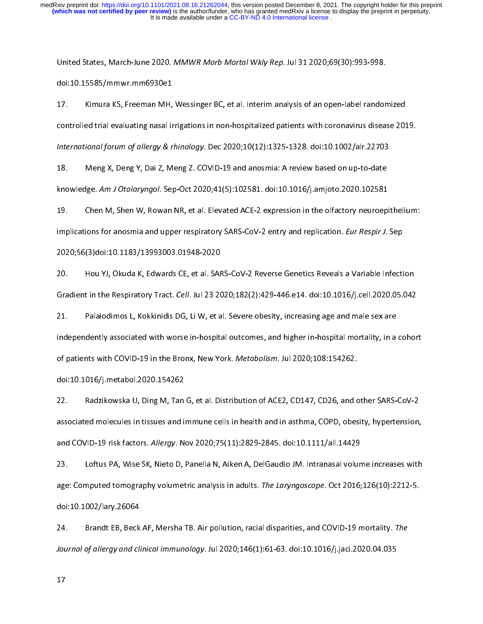United States, March-June 2020. MMWW Morb Mortal Wkly Rep. Jul 31 2020,09(30):993-998.<br>doi:10.15585/mmwr.mm6930e1<br>17. Kimura KS, Freeman MH, Wessinger BC, et al. Interim analysis of an open-label randon<br>controlled trial ev doit of the U.S. Freeman MH,<br>17. Controlled trial evaluating nasal in<br>International forum of allergy & r 11. Kimura K., Freeman M., Freemiger Be, Fremmenn analysis of an open-label randomized<br>controlled trial evaluating nasal irrigations in non-hospitalized patients with coronavirus disease 201<br>International forum of allergy

International forum of allergy & rhinology. Dec 2020;10(12):1325-1328. doi:10.1002/alr.22703<br>18. Meng X, Deng Y, Dai Z, Meng Z. COVID-19 and anosmia: A review based on up-to-date<br>knowledge. Am J Otolaryngol. Sep-Oct 2020;4 International forum of allergy & rhinology. Dec 2020,10(12):1325-1320. doi:10:1002/alr.22703<br>18. Meng X, Deng Y, Dai Z, Meng Z. COVID-19 and anosmia: A review based on up-to-date<br>19. Chen M, Shen W, Rowan NR, et al. Elevat

19. Chen M, Shen W, Rowan NR, et al. Elevated ACE-2 expression in the olfactory neuroepithelium:<br>implications for anosmia and upper respiratory SARS-CoV-2 entry and replication. *Eur Respir J*. Sep knowiedge. Am J Otolaryngol. Sep-Oct 2020;41(5):102581. doi:10:10107j.amjoto.2020.102581<br>19. Chen M, Shen W, Rowan NR, et al. Elevated ACE-2 expression in the olfactory neuroepi<br>implications for anosmia and upper respirato 1912. Chen M, Shen M, Shen M, Shen Metalem Research Marketted Actors, Temperated Actors.<br>19. Chen Chen Microsofter in the oligary state and replication. *Eur Respir J.* Sep.<br>2020;56(3)doi:10.1183/13993003.01948-2020<br>20. Mo

implications for anosinia and upper respiratory SARS-CoV-2 entry and replication. Eur Respir J. Sep<br>2020;56(3)doi:10.1183/13993003.01948-2020<br>20. Hou YJ, Okuda K, Edwards CE, et al. SARS-CoV-2 Reverse Genetic 20. Hou YJ, Okuda K, Edwards CE, et al. SAF<br>Gradient in the Respiratory Tract. *Cell.* Jul 23 20<br>21. Palaiodimos L, Kokkinidis DG, Li W, et a

21. Gradient in the Respiratory Tract. *Cell*. Jul 23 2020;182(2):429-446.e14. doi:10.1016/j.cell.2020.05.042<br>21. Palaiodimos L, Kokkinidis DG, Li W, et al. Severe obesity, increasing age and male sex are<br>independently ass Gradient in the Respiratory Tract. Cell. Jul 23 2020,102(2):425-446.e14. doi:10.1016/j.cell.2020.05.042<br>21. Palaiodimos L, Kokkinidis DG, Li W, et al. Severe obesity, increasing age and male sex are<br>independently associate 2020<br>21. Independently associated with worse in-hospital outcomes, and higher in-hospital mortality, in a<br>2011. Palaiodis Da, New York. Metabolism. Jul 2020;108:154262.<br>2011. Noti:10.1016/j.metabol.2020.154262 independently associated with COVID-19 in the Bronx, New York. *Metabolism*. Jul 2020;108:154262.<br>doi:10.1016/j.metabol.2020.154262<br>22. Radzikowska U, Ding M, Tan G, et al. Distribution of ACE2, CD147, CD26, and othe

of patients with COVID-19 in the Bronx, New York. Metabolism. 3df 2020,108.154202.<br>doi:10.1016/j.metabol.2020.154262<br>22. Addix Radzikowska U, Ding M, Tan G, et al. Distribution of ACE2, CD147, CD26, and c<br>associated molecu associated molecules in tissues and in<br>associated molecules in tissues and in<br>and COVID-19 risk factors. *Allergy*. No 22. Radzikowska U, Ding M, Tan G, et al. Distribution of ACE2, CD147, CD26, and other SARS-CoV-2<br>associated molecules in tissues and immune cells in health and in asthma, COPD, obesity, hypertension,<br>and COVID-19 risk fact

and COVID-19 risk factors. *Allergy*. Nov 2020;75(11):2829-2845. doi:10.1111/all.14429<br>23. Loftus PA, Wise SK, Nieto D, Panella N, Aiken A, DelGaudio JM. Intranasal volume increases with<br>age: Computed tomography volumetric and COVID-19 risk ractors. Allergy. Nov 2020, 19(11):2029-2045. doi:10.11111/all.14429<br>23. Loftus PA, Wise SK, Nieto D, Panella N, Aiken A, DelGaudio JM. Intranasal volun<br>age: Computed tomography volumetric analysis in adu 22. Loftus PA, Microsoftus Panella N, Panella N, Panella R, Microsoftus Premier Premier Marchetter With<br>23. Logi:10.1002/lary.26064<br>24. Brandt EB, Beck AF, Mersha TB. Air pollution, racial disparities, and COVID-19 mortali

age: Computed tomography volumetric analysis in adults. The Laryngoscope. Oct 2010,120(10):2212-5.<br>doi:10.1002/lary.26064<br>24. Brandt EB, Beck AF, Mersha TB. Air pollution, racial disparities, and COVID-19 mortality. The<br>Jo doi:10.1002/lary.26064<br>24. Brandt EB, Beck AF, Mersha TB. Air pollution, racial disparities, and COVID-19 mortality. *The<br>Journal of allergy and clinical immunology*. Jul 2020;146(1):61-63. doi:10.1016/j.jaci.2020.04.035<br>1 24. Brandt EB, Beck AF, Mersha TB. Air politicion, racial disparities, and COVID-19 mortality. The<br>Journal of allergy and clinical immunology. Jul 2020;146(1):61-63. doi:10.1016/j.jaci.2020.04.035<br>17  $J_{J}$  Journal of allergy and clinical immunology. Jul 2020,146(1):61-63. doi:10.1016/j.jaci.2020.04.035<br> $J_{J}$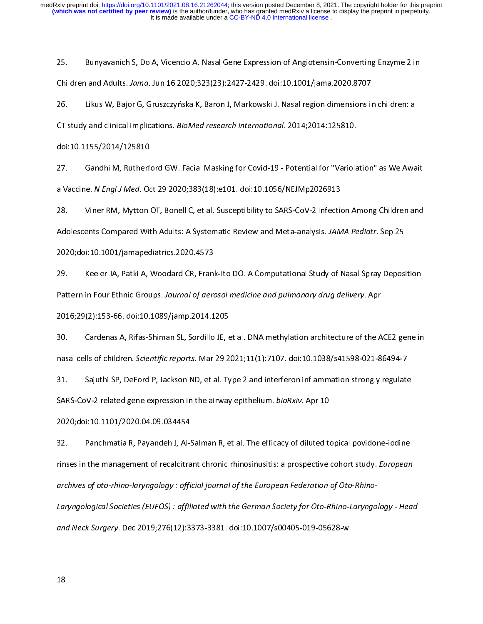25. Bunyavanich S, 23. A, Vicencio A. Nasal Cene Expression of Angle Dene Enzyme 2 in Children and Adults. Jama. Jun 16 2020;323(23):2427-2429. doi:10.1001/jama.2020.8707<br>26. Likus W, Bajor G, Gruszczyńska K, Baron J, Mark Children and Adults. Jama. Jun 16 2020;323(23):2427-2429. doi:10.1001/jama.2020.8707<br>26. Likus W, Bajor G, Gruszczyńska K, Baron J, Markowski J. Nasal region dimensions in children: a<br>CT study and clinical implications. *B* 

26. Likus W, Bajor G, Grusseyman K, Baron J, Markowski Markowski J. 2014; 2014: 125810.<br>26. Likus And Clinical implications. *BioMed research international.* 2014; 2014: 125810.<br>27. Gandhi M, Rutherford GW. Facial Masking CT study and clinical implications. BioMed research international. 2014,2014.125810.<br>doi:10.1155/2014/125810<br>27. Gandhi M, Rutherford GW. Facial Masking for Covid-19 - Potential for "Variola<br>a Vaccine. N Engl J Med. Oct 29 doi:10.1155/2014/125810

22. Gandhi M, Municipal General Masking for Covid-19 - Potential for Masking for Technical<br>28. Gandhi M, Mytton OT, Bonell C, et al. Susceptibility to SARS-CoV-2 Infection Among Children and<br>28. Gandhi Mytton OT, Bonell C, a vaceme. N Engr J Med. Oct 25 2020;383(10):C101. doi:10.1056/NEJMp2020515<br>28. Viner RM, Mytton OT, Bonell C, et al. Susceptibility to SARS-CoV-2 Infectional<br>Adolescents Compared With Adults: A Systematic Review an 28. Viner RM, Mytter Cy, Denis Resember, The Carl Cov-2 Intertementing Summer and<br>Adolescents Compared With Adults: A Systematic Review and Meta-analysis. JAMA Pediatr. Sep 25<br>2020;doi:10.1001/jamapediatrics.2020.4573<br>29.

Adolescents Compared With Adults: A Systematic Review and Meta-analysis. JAMA Pediatr. Sep 25 2020;doi:10.1001/jamapediatrics.2020.4573<br>29. Keeler JA, Patki A, Woodard CR, Frank-Ito DO. A Computational Study of Nasal Spray Deposition<br>Pattern in Four Ethnic Groups. Journal of aerosol medicine and pulmonary drug deli

30. Cardenas A, Rifas-Shiman SL, Sordillo JE, et al. DNA methylation architecture of the ACE2 gene in Pattern in Four Ethnic Groups. Journal by delosor medicine and pulmonary drug delivery. Aproved 2016;29(2):153-66. doi:10.1089/jamp.2014.1205<br>30. Cardenas A, Rifas-Shiman SL, Sordillo JE, et al. DNA methylation architectur 2016; 2016)<br>20. Cardenas A, Rifas-Shiman SL, Sordillo JE, e<br>2016; nasal cells of children. Scientific reports. Mar<br>2014. Sajuthi SP, DeFord P, Jackson ND, et al. Ty

31. Capablic Scientific reports. Mar 29 2021;11(1):7107. doi:10.1038/s41598-021-86494-7<br>31. Sajuthi SP, DeFord P, Jackson ND, et al. Type 2 and interferon inflammation strongly regulate<br>3ARS-CoV-2 related gene expression i nasal cells of children. Scientific reports. Mar 25 2021;11(1):7107. doi:10.1038/s41598-021-86494-7<br>31. Sajuthi SP, DeFord P, Jackson ND, et al. Type 2 and interferon inflammation strongly regulate<br>SARS-CoV-2 related gene 32. SARS-CoV-2 related gene expression in the airway epithelium. *bioRxiv*. Apr 10<br>2020;doi:10.1101/2020.04.09.034454<br>32. Panchmatia R, Payandeh J, Al-Salman R, et al. The efficacy of diluted topical povidone-iodine

SARS-COV-2 related gene expression in the airway epithelium. bioRxiv. Apr 10<br>2020;doi:10.1101/2020.04.09.034454<br>32. Panchmatia R, Payandeh J, Al-Salman R, et al. The efficacy of diluted to<br>rinses in the management of recal 2020;<br>2020; Panchmatia R, Payandeh J, Al-S<br>2020; rinses in the management of recalcitra<br>2020; archives of oto-rhino-laryngology : offic xinses in the management of recalcitrant chronic rhinosinusitis: a prospective cohort study. European<br>archives of oto-rhino-laryngology : official journal of the European Federation of Oto-Rhino-<br>Laryngological Societies ( rinses in the management of recalcitrant chronic rhinosinusitis: a prospective cohort study. European<br>archives of oto-rhino-laryngology : official journal of the European Federation of Oto-Rhino-<br>Laryngological Societies ( archives of oto-rhino-laryngology : official journal of the European Federation of Oto-Rhino-Laryngological Societies (EUFOS) : affiliated with the German Society for Oto-Rhino-Laryngology - Head and Neck Surgery. Dec 2019;276(12):3373-3381. doi:10.1007/s00405-019-05628-w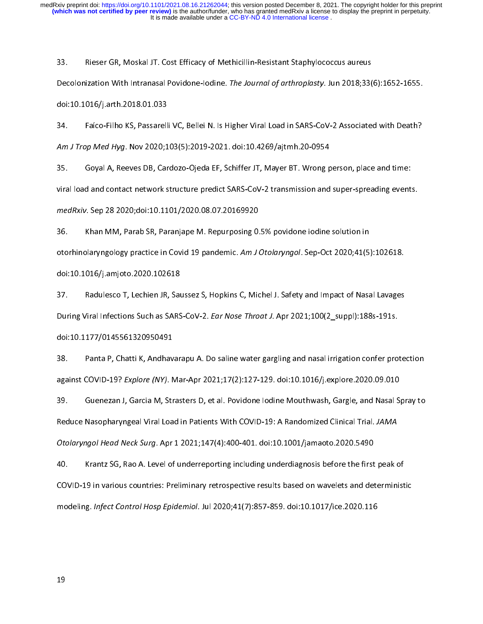33. Rieser Gr, Moschich Vieser Einer, Schmeinhalt Nettenheistigung<br>233. Rodi:10.1016/j.arth.2018.01.033<br>34. Faíco-Filho KS, Passarelli VC, Bellei N. Is Higher Viral Load in SARS-CoV-2 Associate

Becolomization With Intranasal Povidone-Iodine. *The Journal of arthropiasty.* Jun 2010,33(6):1632-1635.<br>doi:10.1016/j.arth.2018.01.033<br>34. Faíco-Filho KS, Passarelli VC, Bellei N. Is Higher Viral Load in SARS-CoV-2 Associ doi:10.1016/j.arth.2018.01.033<br>34. Faíco-Filho KS, Passarelli VC, Bellei N. Is Higher Viral Load in SARS-CoV-2 Associated with Deat<br>35. Goyal A, Reeves DB, Cardozo-Ojeda EF, Schiffer JT, Mayer BT. Wrong person, place and t

34. Face Mine Mine Ky 2020;103(5):2019-2021. doi:10.4269/ajtmh.20-0954<br>35. Goyal A, Reeves DB, Cardozo-Ojeda EF, Schiffer JT, Mayer BT. Wrong person, place and time:<br>17. Viral load and contact network structure predict SAR Am J Trop Med Hyg. Nov 2020,103(3):2019-2021. doi:10.4203/ajtimi.20-0334<br>35. Goyal A, Reeves DB, Cardozo-Ojeda EF, Schiffer JT, Mayer BT. Wrong p<br>viral load and contact network structure predict SARS-CoV-2 transmission and viral load and contact network structure predict SARS-CoV-2 transmission and super-spreading events.<br>35. Goyal A, Rep 28 2020;doi:10.1101/2020.08.07.20169920<br>36. Khan MM, Parab SR, Paranjape M. Repurposing 0.5% povidone io

medRxiv. Sep 28 2020;doi:10.1101/2020.08.07.20169920<br>36. Khan MM, Parab SR, Paranjape M. Repurposing 0.5% povidone iodine solution in<br>otorhinolaryngology practice in Covid 19 pandemic. *Am J Otolaryngol.* Sep-Oct 2 medRXIV. Sep 28 2020;doi:10.1101/2020.08.07.20109920<br>36. Khan MM, Parab SR, Paranjape M. Repurposing 0.<br>otorhinolaryngology practice in Covid 19 pandemic. Am J doi:10.1016/j.amjoto.2020.102618 36. Sep-Oct 2020;41(5<br>36. Ahman Mayngology practice in Covid 19 pandemic. Am J Otolaryngol. Sep-Oct 2020;41(5<br>37. Aadulesco T, Lechien JR, Saussez S, Hopkins C, Michel J. Safety and Impact of Nasa

otorhinolaryngology practice in covid 19 pandemic. Am J Otolaryngor. Sep-Oct 2020,41(5):102016.<br>doi:10.1016/j.amjoto.2020.102618<br>37. Radulesco T, Lechien JR, Saussez S, Hopkins C, Michel J. Safety and Impact of Nasal adulesco T, Lechien JR, Sau<br>During Viral Infections Such as SARS<br>doi:10.1177/0145561320950491 33. Panta P, Chatti K, Andhavarapu A. Do saline water gargling and nasal irrigation confer prote<br>38. Panta P, Chatti K, Andhavarapu A. Do saline water gargling and nasal irrigation confer prote

During Viral Infections Such as SARS-CoV-2. Ear Nose Throat J. Apr 2021,100(2\_supply.160s-151s.<br>doi:10.1177/0145561320950491<br>38. Panta P, Chatti K, Andhavarapu A. Do saline water gargling and nasal irrigation confer pro<br>a doi:10.1177/0145561320950491

38. Panta P, Panta P, Andharam, Panta P, Lame Thatti Gargang and nata P, Garglin P, P, P, P, P, P, P, P, P, P,<br>38. Guenezan J, Garcia M, Strasters D, et al. Povidone lodine Mouthwash, Gargle, and Nasal Spray to<br>89. Gueneza against COVID-19? Explore (NY). Mar-Apr 2021;17(2):127-129. doi:10.10107j.explore.2020.09.010<br>39. Guenezan J, Garcia M, Strasters D, et al. Povidone lodine Mouthwash, Gargle, and Nasal S<br>Reduce Nasopharyngeal Viral Load in 39. Guenezan J, Saran M, Saran D, Strasters D, Strasters D, et al. Powince Iodine Iodine Iodine Iodine Iodine<br>Reduce Nasopharyngeal Viral Load in Patients With COVID-19: A Randomized Clinical Trial. JAMA<br>Otolaryngol Head N

Reduce Nasopharyngear Viral Load in Patients With COVID-19: A Nandomized Clinical Trial. JAMA<br>Otolaryngol Head Neck Surg. Apr 1 2021;147(4):400-401. doi:10.1001/jamaoto.2020.5490<br>40. Krantz SG, Rao A. Level of underreporti Otolaryngor Head Neck Surg. Apr 1 2021;147(4):400-401. doi:10.1001/jamaoto.2020.5490<br>40. Krantz SG, Rao A. Level of underreporting including underdiagnosis before the first<br>COVID-19 in various countries: Preliminary retros 40. COVID-19 in various countries: Preliminary retrospective results based on wavelets and determinist<br>modeling. Infect Control Hosp Epidemiol. Jul 2020;41(7):857-859. doi:10.1017/ice.2020.116 modeling. Infect Control Hosp Epidemiol. Jul 2020;41(7):857-859. doi:10.1017/ice.2020.116 modeling. *infect Control Hosp Epidemiol.* Jul 2020;41(7*):857-859.* doi:10.1017/ice.2020.116<br>19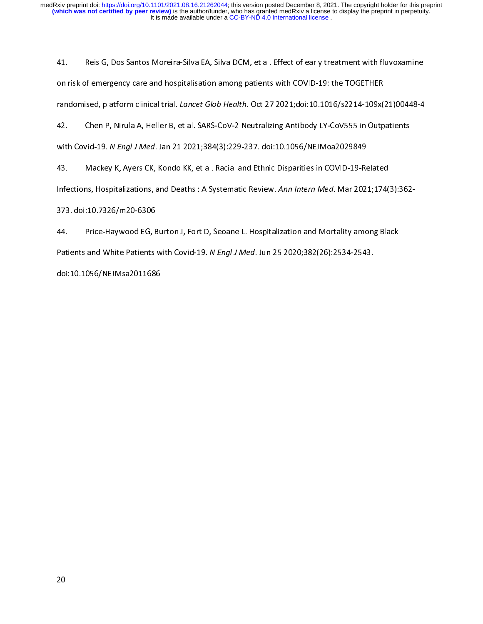141. Reis G, Distribution and America, Distribution and American EA, Silva Distribution and Distribution on tisk of emergency care and hospitalisation among patients with COVID-19: the TOGETHER<br>Frandomised, platform clinic

randomised, platform clinical trial. *Lancet Glob Health*. Oct 27 2021;doi:10.1016/s2214-109x(<br>42. Chen P, Nirula A, Heller B, et al. SARS-CoV-2 Neutralizing Antibody LY-CoV555 in Outp<br>with Covid-19. N *Engl J Med*. Jan 21 chen P, Nirula A, Heller B, et al. SARS-CoV-2 Neutralizing Antibody LY-CoV555 in Outpatients<br>with Covid-19. N Engl J Med. Jan 21 2021;384(3):229-237. doi:10.1056/NEJMoa2029849<br>43. Mackey K, Ayers CK, Kondo KK, et al. Racia 43. Chen P, Nirula A, Heller B, 21 and AME 1211 2021;384(3):229-237. doi:10.1056/NEJMoa2029849<br>43. Mackey K, Ayers CK, Kondo KK, et al. Racial and Ethnic Disparities in COVID-19-Related<br>Infections, Hospitalizations, and De

with Covid-19. *N Engrs Med.* Jan 21 2021;384(3):229-237. doi:10.1056/NEJMod2025849<br>43. Mackey K, Ayers CK, Kondo KK, et al. Racial and Ethnic Disparities in COVID-19-Re<br>Infections, Hospitalizations, and Deaths : A Systema

144. Machel, Ayer, St. En, Machel an, Ethnic Machel and Ethnic Method Mac 2021;174<br>Infections, Hospitalizations, and Deaths : A Systematic Review. Ann Intern Med. Mar 2021;174<br>373. doi:10.7326/m20-6306<br>44. Price-Haywood EG Infections, Hospitalizations, and Beaths : A Systematic Review. Ann Intern Med. Mar 2021,174(3):302<br>373. doi:10.7326/m20-6306<br>Patients and White Patients with Covid-19. N Engl J Med. Jun 25 2020;382(26):2534-2543. 373. doi:10.1227. doi:10.1056/m20-6306<br>Patients and White Patients<br>doi:10.1056/NEJMsa2011686 44. Price-Haywood Ery Editory, Fortey Journal and Mortality among Black<br>Patients and White Patients with Covid-19. N Engl J Med. Jun 25 2020;382(26):2534-2543.<br>doi:10.1056/NEJMsa2011686 Patients and White Patients with Covid-19. N Engl J Med. Jun 25 2020;382(26):2534-2543.<br>doi:10.1056/NEJMsa2011686

doi:10.1056/NEJMsa2011686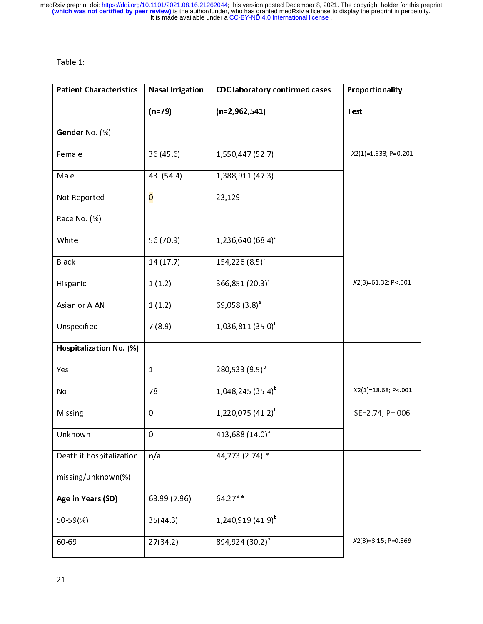| <b>Patient Characteristics</b> | <b>Nasal Irrigation</b> | <b>CDC laboratory confirmed cases</b> | Proportionality        |
|--------------------------------|-------------------------|---------------------------------------|------------------------|
|                                | $(n=79)$                | $(n=2,962,541)$                       | <b>Test</b>            |
| Gender No. (%)                 |                         |                                       |                        |
| Female                         | 36 (45.6)               | 1,550,447 (52.7)                      | $X2(1)=1.633; P=0.201$ |
| Male                           | 43 (54.4)               | 1,388,911 (47.3)                      |                        |
| Not Reported                   | $\overline{O}$          | 23,129                                |                        |
| Race No. (%)                   |                         |                                       |                        |
| White                          | 56 (70.9)               | $1,236,640(68.4)^a$                   |                        |
| <b>Black</b>                   | 14 (17.7)               | $154,226(8.5)^{a}$                    |                        |
| Hispanic                       | 1(1.2)                  | 366,851 (20.3) <sup>a</sup>           | X2(3)=61.32; P<.001    |
| Asian or AIAN                  | 1(1.2)                  | 69,058 $(3.8)^a$                      |                        |
| Unspecified                    | 7(8.9)                  | $1,036,811(35.0)^{b}$                 |                        |
| Hospitalization No. (%)        |                         |                                       |                        |
| Yes                            | $\mathbf{1}$            | 280,533 $(9.5)^{b}$                   |                        |
| No                             | 78                      | $1,048,245(35.4)^{b}$                 | X2(1)=18.68; P< 001    |
| Missing                        | 0                       | $1,220,075$ (41.2) <sup>b</sup>       | SE=2.74; P=.006        |
| Unknown                        | 0                       | 413,688 (14.0) <sup>b</sup>           |                        |
| Death if hospitalization       | n/a                     | 44,773 (2.74) *                       |                        |
| missing/unknown(%)             |                         |                                       |                        |
| Age in Years (SD)              | 63.99 (7.96)            | 64.27**                               |                        |
| 50-59(%)                       | 35(44.3)                | $1,240,919(41.9)^{b}$                 |                        |
| 60-69                          | 27(34.2)                | 894,924 (30.2) <sup>b</sup>           | $X2(3)=3.15; P=0.369$  |
|                                |                         |                                       |                        |
| 21                             |                         |                                       |                        |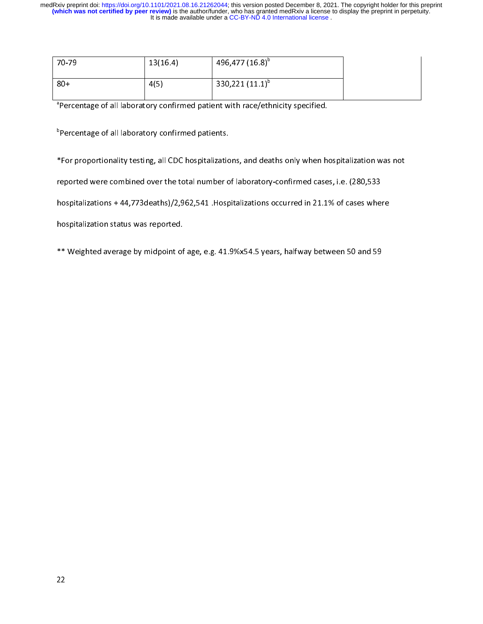| $70 - 79$                                                     | 13(16.4) | 496,477 (16.8) <sup>b</sup>                                                                         |  |
|---------------------------------------------------------------|----------|-----------------------------------------------------------------------------------------------------|--|
| $80+$                                                         | 4(5)     | 330,221 $(11.1)^{b}$                                                                                |  |
|                                                               |          | <sup>a</sup> Percentage of all laboratory confirmed patient with race/ethnicity specified.          |  |
| <sup>b</sup> Percentage of all laboratory confirmed patients. |          |                                                                                                     |  |
|                                                               |          | Eor proportionality testing, all CDC hospitalizations, and deaths only when hospitalization was not |  |

Percentage of all laboratory confirmed patients.<br>For proportionality testing, all CDC hospitalizations, and deaths only when he<br>eported were combined over the total number of laboratory-confirmed case

Percentage of all laboratory communic patients.<br>Percentage of all CDC hospitalizations eported were combined over the total number of<br>Percentage of all laboratory conspitalizations + 44,773deaths)/2,962,541 .Hosp reported were combined over the total number of laboratory-confirmed cases, i.e. (280,533<br>hospitalizations + 44,773deaths)/2,962,541 .Hospitalizations occurred in 21.1% of cases where<br>hospitalization status was reported.

reported izations + 44,773 deaths)/2,962,541 .Hospitalizations occurred in 21.1% of cases when<br>hospitalization status was reported.<br>\*\* Weighted average by midpoint of age, e.g. 41.9%x54.5 years, halfway between 50 and 59 hospitalization status was reported.<br>\*\* Weighted average by midpoint of age, e.g. 41.9%x54.5 years, halfway between 50 and 59 \*\* Weighted average by midpoint of  $\mathcal{P}_{\mathcal{P}}$  , weighted average by midpoint of age, e.g. 41.9%  $\mathcal{P}_{\mathcal{P}}$  , halfway between  $\mathcal{P}_{\mathcal{P}}$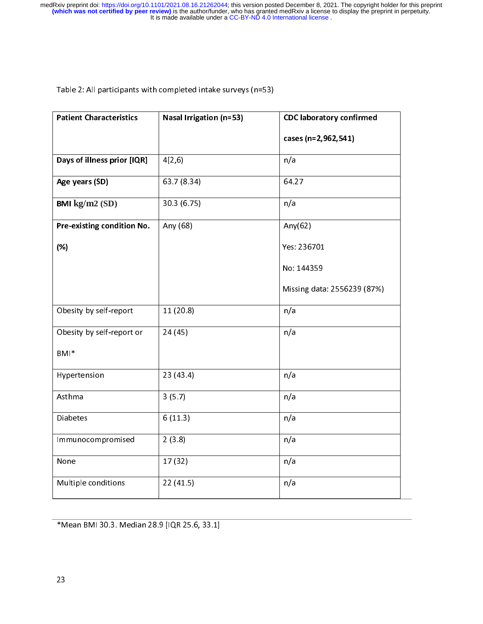| <b>Patient Characteristics</b> | Nasal Irrigation (n=53) | <b>CDC laboratory confirmed</b> |
|--------------------------------|-------------------------|---------------------------------|
|                                |                         | cases (n=2,962,541)             |
| Days of illness prior [IQR]    | 4[2,6]                  | n/a                             |
| Age years (SD)                 | 63.7 (8.34)             | 64.27                           |
| BMI kg/m2 (SD)                 | 30.3 (6.75)             | n/a                             |
| Pre-existing condition No.     | Any (68)                | Any $(62)$                      |
| (%)                            |                         | Yes: 236701                     |
|                                |                         | No: 144359                      |
|                                |                         | Missing data: 2556239 (87%)     |
| Obesity by self-report         | 11(20.8)                | n/a                             |
| Obesity by self-report or      | 24 (45)                 | n/a                             |
| BMI*                           |                         |                                 |
| Hypertension                   | 23 (43.4)               | n/a                             |
| Asthma                         | 3(5.7)                  | n/a                             |
| <b>Diabetes</b>                | 6(11.3)                 | n/a                             |
| Immunocompromised              | 2(3.8)                  | n/a                             |
| None                           | 17(32)                  | n/a                             |
| Multiple conditions            | 22(41.5)                | n/a                             |

\*Mean BMI 30.3. Median 28.9 [IQR 25.6, 33.1]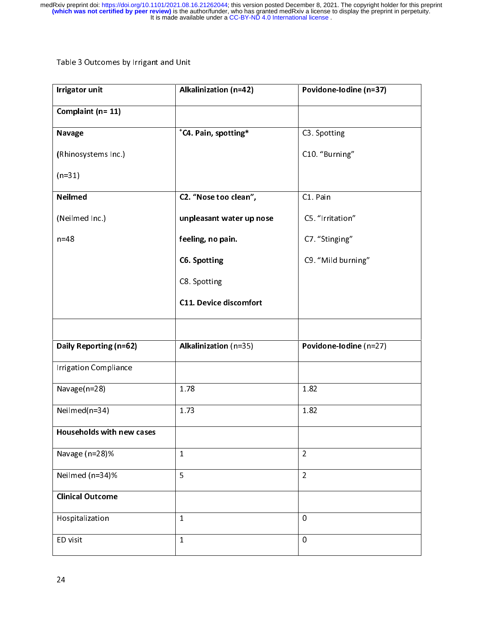| <b>Irrigator unit</b>            | Alkalinization (n=42)            | Povidone-lodine (n=37) |
|----------------------------------|----------------------------------|------------------------|
| Complaint (n= 11)                |                                  |                        |
| <b>Navage</b>                    | <sup>*</sup> C4. Pain, spotting* | C3 Spotting            |
| (Rhinosystems Inc.)              |                                  | C10 "Burning"          |
| $(n=31)$                         |                                  |                        |
| Neilmed                          | C2. "Nose too clean",            | C1 Pain                |
| (Neilmed Inc.)                   | unpleasant water up nose         | C5. "Irritation"       |
| $n=48$                           | feeling, no pain.                | C7 "Stinging"          |
|                                  | <b>C6. Spotting</b>              | C9. "Mild burning"     |
|                                  | C8 Spotting                      |                        |
|                                  | <b>C11. Device discomfort</b>    |                        |
|                                  |                                  |                        |
| Daily Reporting (n=62)           | Alkalinization (n=35)            | Povidone-lodine (n=27) |
| <b>Irrigation Compliance</b>     |                                  |                        |
| Navage(n=28)                     | 1.78                             | 1.82                   |
| Neilmed(n=34)                    | 1.73                             | 1.82                   |
| <b>Households with new cases</b> |                                  |                        |
| Navage (n=28)%                   | $\mathbf{1}$                     | $\overline{2}$         |
| Neilmed (n=34)%                  | 5                                | $\overline{2}$         |
| <b>Clinical Outcome</b>          |                                  |                        |
| Hospitalization                  | $\mathbf{1}$                     | $\pmb{0}$              |
| ED visit                         | $\mathbf{1}$                     | $\mathbf 0$            |
|                                  |                                  |                        |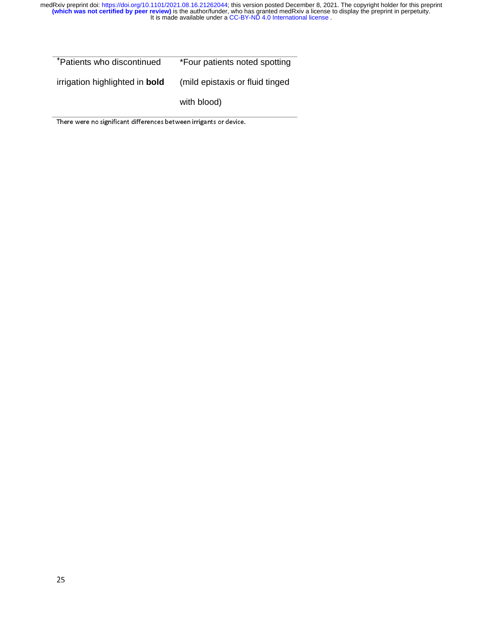**+** Patients who discontinued irrigation highlighted in **bold** \*Four patients noted spotting (mild epistaxis or fluid tinged with blood)

There were no significant differences between irrigants or device.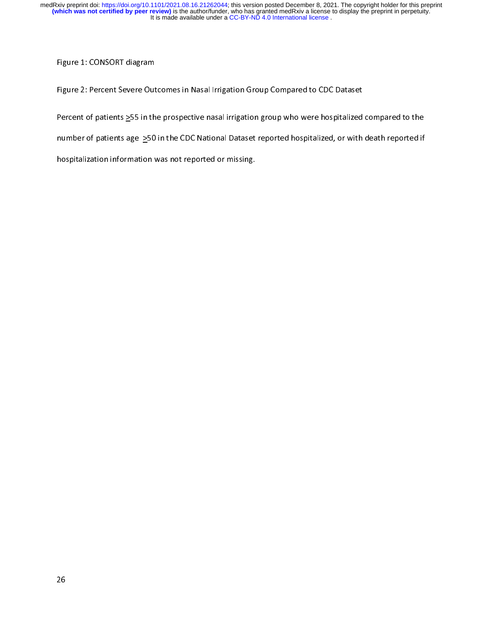Figure 1: CONSORT diagram<br>Figure 2: Percent Severe Outcomes in Nasal Irrigation Group Compared to CDC Dataset<br>Percent of patients >55 in the prospective nasal irrigation group who were hospitalized compared to the Figure 2: Percent of patients  $\geq$ 55 in the prospective nasal irrigation group who were hospitalized<br>number of patients age  $\geq$ 50 in the CDC National Dataset reported hospitalized, or with<br>hospitalization information w

Percent of patients  $\frac{1}{2}$  is a the prospective nasal inguising only the strong integration  $\frac{1}{2}$  in the CDC National Dataset reported hospitalized, or with death reported if hospitalization information was not rep

number of patients and participation information was not reported or missing.<br>
The CDC National Dataset reported in the CDC National Dataset reported in the CDC National Dataset reported in<br>
The CDC National Dataset report hospitalization information was not reported or missing.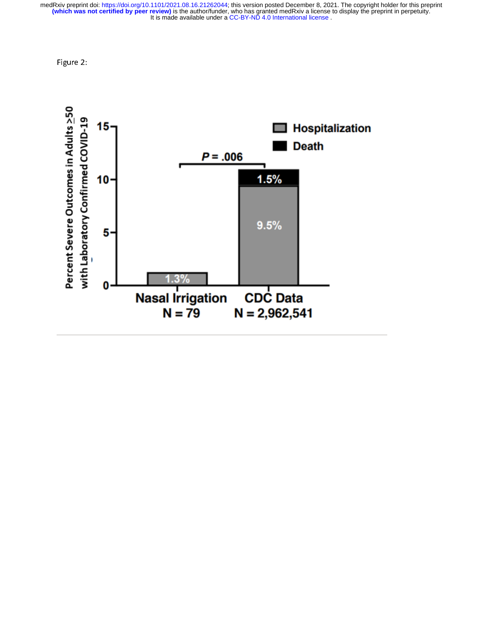